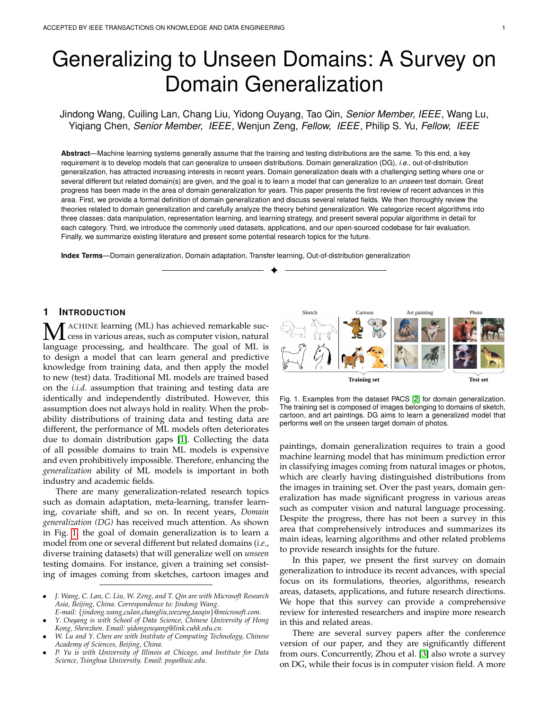# Generalizing to Unseen Domains: A Survey on Domain Generalization

Jindong Wang, Cuiling Lan, Chang Liu, Yidong Ouyang, Tao Qin, *Senior Member, IEEE*, Wang Lu, Yiqiang Chen, *Senior Member, IEEE*, Wenjun Zeng, *Fellow, IEEE*, Philip S. Yu, *Fellow, IEEE*

**Abstract**—Machine learning systems generally assume that the training and testing distributions are the same. To this end, a key requirement is to develop models that can generalize to unseen distributions. Domain generalization (DG), *i*.*e*., out-of-distribution generalization, has attracted increasing interests in recent years. Domain generalization deals with a challenging setting where one or several different but related domain(s) are given, and the goal is to learn a model that can generalize to an *unseen* test domain. Great progress has been made in the area of domain generalization for years. This paper presents the first review of recent advances in this area. First, we provide a formal definition of domain generalization and discuss several related fields. We then thoroughly review the theories related to domain generalization and carefully analyze the theory behind generalization. We categorize recent algorithms into three classes: data manipulation, representation learning, and learning strategy, and present several popular algorithms in detail for each category. Third, we introduce the commonly used datasets, applications, and our open-sourced codebase for fair evaluation. Finally, we summarize existing literature and present some potential research topics for the future.

✦

**Index Terms**—Domain generalization, Domain adaptation, Transfer learning, Out-of-distribution generalization

# **1 INTRODUCTION**

**M** ACHINE learning (ML) has achieved remarkable suc-<br>language processing and boalthcare. The goal of ML is language processing, and healthcare. The goal of ML is to design a model that can learn general and predictive knowledge from training data, and then apply the model to new (test) data. Traditional ML models are trained based on the *i.i.d.* assumption that training and testing data are identically and independently distributed. However, this assumption does not always hold in reality. When the probability distributions of training data and testing data are different, the performance of ML models often deteriorates due to domain distribution gaps [1]. Collecting the data of all possible domains to train ML models is expensive and even prohibitively impossible. Therefore, enhancing the *generalization* ability of ML models is important in both industry and academic fields.

There are many generalization-related research topics such as domain adaptation, meta-learning, transfer learning, covariate shift, and so on. In recent years, *Domain generalization (DG)* has received much attention. As shown in Fig. 1, the goal of domain generalization is to learn a model from one or several different but related domains (*i*.*e*., diverse training datasets) that will generalize well on *unseen* testing domains. For instance, given a training set consisting of images coming from sketches, cartoon images and

- *Y. Ouyang is with School of Data Science, Chinese University of Hong Kong, Shenzhen. Email: yidongouyang@link.cuhk.edu.cn.*
- *W. Lu and Y. Chen are with Institute of Computing Technology, Chinese Academy of Sciences, Beijing, China.*
- *P. Yu is with University of Illinois at Chicago, and Institute for Data Science, Tsinghua University. Email: psyu@uic.edu.*



Fig. 1. Examples from the dataset PACS [2] for domain generalization. The training set is composed of images belonging to domains of sketch, cartoon, and art paintings. DG aims to learn a generalized model that performs well on the unseen target domain of photos.

paintings, domain generalization requires to train a good machine learning model that has minimum prediction error in classifying images coming from natural images or photos, which are clearly having distinguished distributions from the images in training set. Over the past years, domain generalization has made significant progress in various areas such as computer vision and natural language processing. Despite the progress, there has not been a survey in this area that comprehensively introduces and summarizes its main ideas, learning algorithms and other related problems to provide research insights for the future.

In this paper, we present the first survey on domain generalization to introduce its recent advances, with special focus on its formulations, theories, algorithms, research areas, datasets, applications, and future research directions. We hope that this survey can provide a comprehensive review for interested researchers and inspire more research in this and related areas.

There are several survey papers after the conference version of our paper, and they are significantly different from ours. Concurrently, Zhou et al. [3] also wrote a survey on DG, while their focus is in computer vision field. A more

<sup>•</sup> *J. Wang, C. Lan, C. Liu, W. Zeng, and T. Qin are with Microsoft Research Asia, Beijing, China. Correspondence to: Jindong Wang.*

*E-mail:* {*jindong.wang,culan,changliu,wezeng,taoqin*}*@microsoft.com.*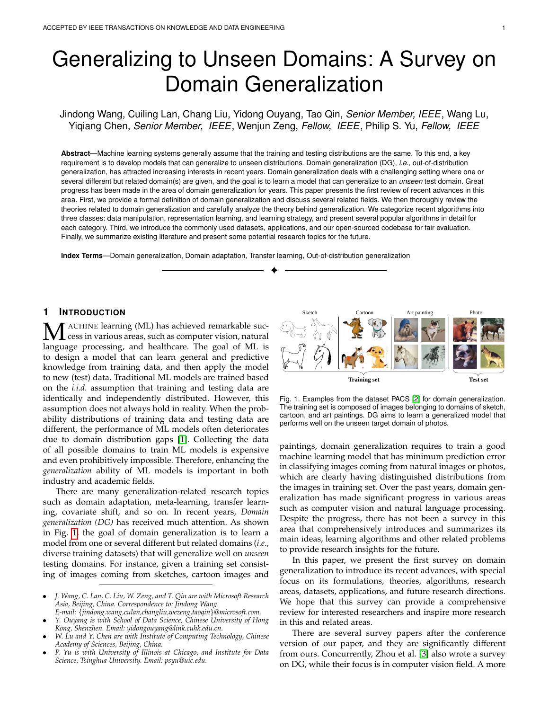recent survey paper is on out-of-distribution (OOD) generalization by Shen et al. [4]. Their work focused on causality and stable neural networks. A related survey paper [5] is for OOD detection instead of building a working algorithm that can be applied to any unseen environments.

This paper is a heavily extended version of our previously accepted short paper at IJCAI-21 survey track (6 pages, included in the appendix file). Compared to the short paper, this version makes the following extensions:

> We present the theory analysis on domain generalization and the related domain adaptation.

> We substantially extend the methodology by adding new categories: *e.g.,* causality-inspired methods, generative modeling for feature disentanglement, invariant risk minimization, gradient operation-based methods, and other learning strategies to comprehensively summarize these DG methods.

> For all the categories, we broaden the analysis of methods by including more related algorithms, comparisons, and discussion. And we also include more recent papers (over 30% of new work).

> We extend the scope of datasets and applications, and we also explore evaluation standards to domain generalization. Finally, we build an open-sourced codebase for DG research named *DeepDG*1 and conduct some analysis of the results on public datasets.

This paper is organized as follows. We formulate the problem of domain generalization and discuss its relationship with existing research areas in Section 2. Section 3 presents the related theories in domain generalization. In Section 4, we describe some representative DG methods in detail. In Section 5, we show some new DG research areas extended from the traditional setting. Section 6 presents the applications and Section 7 introduces the benchmark datasets for DG. We summarize the insights from existing work and present some possible future directions in Section 8. Finally, we conclude this paper in Section 9.

# **2 BACKGROUND**

# **2.1 Formalization of Domain Generalization**

In this section, we introduce the notations and definitions used in this paper.

**Definition 1** (Domain)**.** *Let* X *denote a nonempty input space and* Y *an output space. A domain is composed of data that are* sampled from a distribution. We denote it as  $S = f(\mathbf{x}_i, y_i)g_{i=1}^n$  $P_{XY}$ *, where*  $\times$  2  $\times$ d *,* y 2 Y R *denotes the label, and* PXY *denotes the joint distribution of the input sample and output label.* X *and* Y *denote the corresponding random variables.*

**Definition 2** (Domain generalization)**.** *As shown in Fig. 2, in domain generalization, we are given* M *training (source) domains*  $S_{train} = fS^i$  j i = 1; Mg where  $S^i = f(\mathbf{x}_j^i, y_j^i)g_{j=1}^{n_i}$ *denotes the* i*-th domain. The joint distributions between each pair* of domains are different:  $\overline{P^i_{XY}}$   $\acute{\mathrm{e}}$   $\overline{P^j_{X}}$ i *é* j *The goal of domain generalization is to learn a robust and generalizable predictive function* h : X ! Y *from the* M *training*

1. [https://github.com/jindongwang/transferlearning/tree/master/](https://github.com/jindongwang/transferlearning/tree/master/code/DeepDG) [code/DeepDG](https://github.com/jindongwang/transferlearning/tree/master/code/DeepDG)

 $P_X^2$  $\frac{1}{X}$  $\mathbf{1}$ Training domains Figure 1 Test domain

Fig. 2. Illustration of domain generalization. Adapted from [6].

*domains to achieve a minimum prediction error on an* unseen *test domain*  $S_{test}$  *(i.e.,*  $S_{test}$  *cannot be accessed in training and*  $P_{XY}^{test}$   $\oplus$   $P_{XY}^{i}$  for  $i$  2  $\uparrow$ 1; ; Mg):

$$
\min_{h} \mathsf{E}_{(\mathbf{x}, y) \ge S_{test}}[\hat{h}(\mathbf{x}), y]; \tag{1}
$$

*where*  $\epsilon$  *is the expectation and*  $\zeta$  *( ; ) is the loss function.* 

We list the frequently used notations in TABLE 1.

TABLE 1 Notations used in this paper.

| Notation                      | Description             | Notation   | Description                  |
|-------------------------------|-------------------------|------------|------------------------------|
| x, y                          | Instance/label          | $\cdot$ () | Loss function                |
| $\mathcal{X}$ : $\mathcal{Y}$ | Feature/label space     | h          | Predictive function          |
| S                             | Domain                  | $q$ ; f    | Feature extractor/classifier |
| P(.)                          | Distribution            |            | Error (risk)                 |
| ΕH                            | Expectation             |            | Model parameter              |
| М                             | Number of source domain | ni         | Data size of source domain / |

# **2.2 Related Research Areas**

There are several research fields closely related to domain generalization, including but not limited to: transfer learning, domain adaptation, multi-task learning, multiple domain learning, meta-learning, lifelong learning, and zero-shot learning. We summarize their differences with domain generalization in TABLE 2 and briefly describe them in the following.

**Multi-task learning** [7] jointly optimizes models on several related tasks. By sharing representations between these tasks, we could enable the model to generalize better on the original task. Note that multi-task learning does not aim to enhance the generalization to a new (unseen) task. Particularly, multi-domain learning is a kind of multi-task learning, which trains on multiple related domains to learn good models for each original domain [8] instead of new test domains.

**Transfer learning** [9, 10, 11] trains a model on a source task and aims to enhance the performance of the model on a different but related target domain/task. Pretraining-finetuning is the commonly used strategy for transfer learning where the source and target domains have different tasks and target domain is accessed in training. In DG, the target domain cannot be accessed and the training and test tasks are often the same while they have different distributions.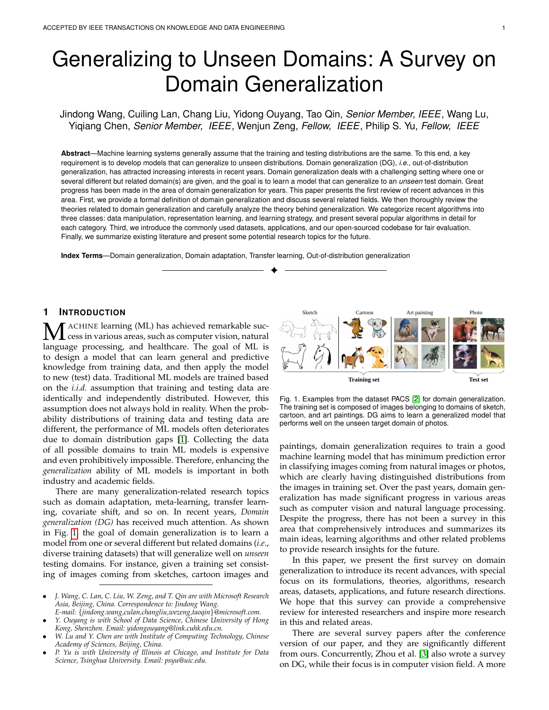TABLE<sub>2</sub> Comparison between domain generalization and some related learning paradigms.

| Learning paradigm     | Training data                             | Test data                | Condition                                                       | Test access |
|-----------------------|-------------------------------------------|--------------------------|-----------------------------------------------------------------|-------------|
| Multi-task learning   | $S^1 \cdots S^n$                          | $S^1 \cdots S^n$         | $\overline{y'} \neq \overline{y'}$ ; $1 \leq i \neq j \leq n$   |             |
| Transfer learning     | $\mathcal{S}^{src}$ , $\mathcal{S}^{tar}$ | gtar                     | $\mathcal{V}^{src} \neq \mathcal{V}^{tar}$                      |             |
| Domain adaptation     | $S^{src} \cdot S^{tar}$                   | gtar                     | $P(X^{src}) \neq P(X^{tar})$                                    |             |
| Meta-learning         | $S^1 \cdots S^n$                          | $S^{n+1}$                | $\mathcal{Y}^i \neq \mathcal{Y}^j$ ; 1 $\leq i \neq j \leq n+1$ |             |
| Lifelong learning     | $S^1 \cdots S^n$                          | $S^1$ ; $\cdots$ ; $S^n$ | $St$ arrives sequentially                                       |             |
| Zero-shot learning    | $S^1$ $S^n$                               | $S^{n+1}$                | $y^{n+1} \neq y^i$ ; $1 \leq i \leq n$                          | $\times$    |
| Domain generalization | $S^1 \cdots S^n$                          | $S^{n+1}$                | $P(S^i) \neq P(S^j)$ ; $1 \leq i \neq j \leq n+1$               | $\times$    |

**Domain adaptation** (DA) [12, 13] is also popular in recent years. DA aims to maximize the performance on a given target domain using existing training source domain(s). The difference between DA and DG is that DA has access to the target domain data while DG cannot see them during training. This makes DG more challenging than DA but more realistic and favorable in practical applications.

**Meta-learning** [14, 15, 16] aims to learn the learning algorithm itself by learning from previous experience or tasks, i.e., learning-to-learn. While the learning tasks are different in meta-learning, the learning tasks are the same in domain generalization. Meta-learning is a general learning strategy that can be used for DG [17, 18, 19, 20] by simulating the meta-train and meta-test tasks in training domains to enhance the performance of DG.

**Lifelong Learning** [21], or continual learning, cares about the learning ability among multiple sequential domains/tasks. It requires the model to continually learn over time by accommodating new knowledge while retaining previously learned experiences. This is also different from DG since it can access the target domain in each time step, and it does not explicitly handle the different distributions across domains.

**Zero-shot learning** [22, 23] aims at learning models from seen classes and classify samples whose categories are unseen in training. In contrast, domain generalization in general studies the problem where training and testing data are from the same classes but with different distributions.

# **3 THEORY**

In this section, we review some theories related to domain generalization. Since domain adaptation is closely related to DG, we begin with the theory of domain adaptation.

#### **3.1 Domain Adaptation**

For a binary classification problem, we denote the true labeling functions on the source domain as  $h^{s}: X \neq [0,1]$ <sup>2</sup> and that on the target domain as  $h^{-t}$ . Let  $h: X \neq [0,1]$  be any classifier from a hypothesis space  $H$ . The classification difference on the source domain between two classifiers  $h$ and  $h^{\scriptscriptstyle\beta}$  can then be measured by

$$
{}^{s}(h;h^{\theta}) = \mathbb{E}_{\mathbf{x}} \ \ P_{\tilde{\chi}}[h(\mathbf{x}) \in h^{\theta}(\mathbf{x})] = \mathbb{E}_{\mathbf{x}} \ \ P_{\tilde{\chi}}[jh(\mathbf{x}) \quad h^{\theta}(\mathbf{x})j]; \tag{2}
$$

and similarly we can define  $t$  when taking  $x$ t X in the expectation. We define  $s(h) := s(h/h s)$  and

2. When the output is in  $(0, 1)$ , it means the probability of  $y = 1$ .

 $t(h) := t(h/h^{-1})$  as the risk of classifier h on the source and target domains, respectively.

The goal of DG/DA is to minimize the target risk  ${}^{t}(h)$ , but it is not accessible since we do not have any information on  $h^{t}$ . So people seek to bound the target risk  $t(h)$  using the tractable source risk  $s(h)$ . Ben-David et al. [24] (Thm. 1) give a bound relating the two risks:

$$
{}^{t}(h) \t S(h) + 2d_1(P_X^s; P_X^t)
$$
 (3)

+ 
$$
\min_{P_X \supseteq f P_X^S : P_X^t g} E_{\mathbf{x} P_X} [j h^S(\mathbf{x}) h^t(\mathbf{x})] \tag{4}
$$

where  $d_1(P_X^s/P_X^t) := \sup_{A \supseteq X} P_X^s[A]$   $P_X^t[A]$  is the *total variation* between the two distributions, and  $\mathscr X$  denotes the sigma-field on  $X$ . The second term on the r.h.s measures the difference of cross-domain distributions, and the third term represents the difference in the labeling functions (covariate shift is not *a priori* assumed).

However, the total variation is a strong distance (i.e., it tends to be very large) that may loosen the bound (4), and is hard to estimate using finite samples. To address this, Ben-David et al. [24] developed another bound ([24], Thm. 2; [25], Thm. 1):

$$
^{t}(h)
$$
  $^{s}(h)$  +  $d_{H} H(P_{X}^{s}/P_{X}^{t})$  +  $H$ ; (5)

where the  $H$  H-divergence is defined as  $d_H$   $_H(P_X^s; P_X^t) := \sup_{h; h^0 \ge H} \bar{f}^s(h; h^0)$  ${}^{t}(h; h^{0})$  *j*, replacing the total variation  $d_1$  to measure the distribution difference, and the ideal joint risk  $H := \inf_{h \ge H} [S(h) + {}^t(h)]$ measures the complexity of  $H$  for the prediction tasks on the two domains.  $H$  H-divergence has a better finitesample guarantee, leading to a non-asymptotic bound:

**Theorem 1** (Domain adaptation error bound (non-asymptotic) [24] (Thm. 2))**.** *Let* d *be the Vapnik–Chervonenkis (VC) dimension [26] of* H*, and* U s *and* U t *be unlabeled samples of size n* from the two domains. Then for any  $h \, 2 \, H$  and  $2 \, (0, 1)$ , the *following inequality holds with probability at least* 1 *:*

$$
{}^{t}(h) \qquad {}^{s}(h) \underset{S}{\longrightarrow} \frac{4}{d_{H} H(U^{s}; U^{t}) + H} \qquad (6)
$$

$$
+ 4 \frac{2d \log(2n) + \log(2\epsilon)}{n}
$$
 (7)

where  $\hat{d}_H$  <sub>H</sub>(U<sup>s</sup>;U<sup>t</sup>) is the estimate of  $d_H$  <sub>H</sub>(P<sub>X</sub>;P<sub>X</sub>) on the *two sets of finite data samples.*

In the above bounds, the domain distribution difference  $d(P_X^s, P_X^t)$  is not controllable, but one may learn a representation function  $g : X \perp Z$  that maps the original input data **x** to some representation space  $Z$ , so that the representation distributions of the two domains become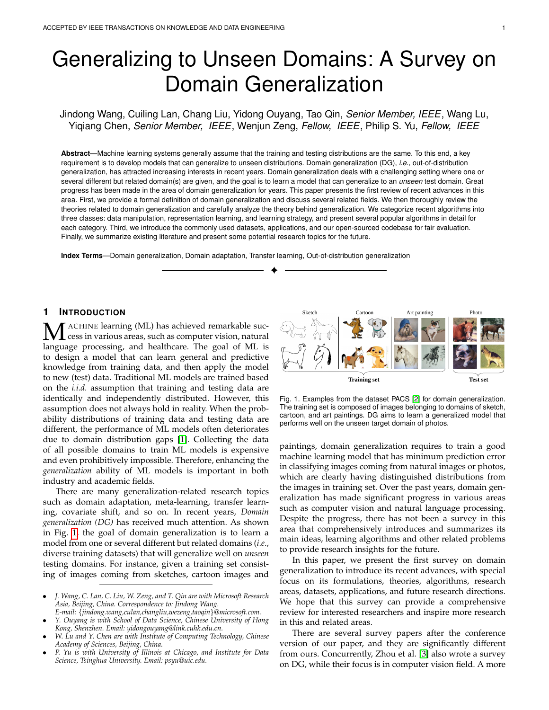closer. This direction of DA is thus called DA based on domain-invariant representation (DA-DIR). The theory of domain-invariant representations has since inspired many DA/DG methods, which can be seen in Section 4.2.

## 3.2 Domain Generalization

#### 3.2.1 Average risk estimation error bound

The rst line of domain generalization theory considers the case where the target domain is totally unknown (not even unsupervised data), and measures the average risk over all possible target domains. Assume that all possible target distributions follow an underlying hyperdistribution P on  $(x, y)$  distributions:  $P_x^t$ P, and that the source distributions also follow the same hyperdistribution:  $\mathsf{P}_{\mathsf{XY}}^1$  ;  $\quad$  ;  $\mathsf{P}_{\mathsf{XY}}^\mathsf{M}\quad$  P . For generalization to any possible target domain, the classi er to be learned in this case also includes the domain information  $P_X$  into its input, so prediction is in the form  $y = h(P_X; x)$  on the domain with distribution  $P_{XY}$ . For such a classi er h, its average risk over all possible target domains is then given by:

$$
E(h) := E_{P_{XY}} P E_{(x,y) P_{XY}} [h(P_X; x); y]; \qquad (8)
$$

where ` is a loss function on Y. Exactly evaluating the expectations is impossible, but we can estimate it using nite domains/distributions following P, and  $P$ , and nite  $(x; y)$ samples following each distribution. As we have assumed  $P_{XY}^1$ ; ;  $P_{XY}^M$  P, the source domains and supervised data could serve for this estimation:

$$
\hat{E}(h) := \frac{1}{M} \sum_{i=1}^{M} \frac{1}{n^i} \sum_{j=1}^{N^i} (h(U^i; x_j^i); y_j^i); \qquad (9)
$$

where we use the supervised dataset U<sup>i</sup> := f x<sub>j</sub> j (x<sub>j</sub> ; y<sub>j</sub>) 2 S<sup>i</sup>g from domain i as an empirical estimation for  $P_{X}^{i'}$ .

The rst problem to consider is how well such an estimate approximates the target E(h). This can be measured by the largest difference between  $E(h)$  and  $\hat{E}(h)$  on some space of h. To our knowledge, this is rst analyzed by Blanchard et al. [6], where the space of h is taken as a reproducing kernel Hilbert space (RKHS). However, different from common treatment, the classi er h here also depends on the distribution  $P_X$ , so the kernel de ning the RKHS should be in the form  $k((P_X^1; x_1); (P_X^2; x_2))$ . Blanchard et al. [6] construct such a kernel using kernels  $k_{\mathsf{X}}$  ;  $k_{\mathsf{X}}^0$  on X and kernel on the RKHS  $H_{k_{\chi}^0}$  of kernel  $k_X^0$ : k(( $P_X^1$ ; x<sub>1</sub>); ( $P_X^2$ ; x<sub>2</sub>)) :=  $(x_8 \in R_X^3)$ ;  $x_8 \in R_X^3$  (P<sub>X</sub>) k<sub>x</sub> (x<sub>1</sub>; x<sub>2</sub>), where  $x_8 \in R_X^3$  (P<sub>X</sub>) :=  $E_x$   $\varphi_x$  [k<sub>2</sub>(x; )] 2 H<sub>k<sub>2</sub> is the kernel embedding of distri-</sub> bution  $P_X$  via kernel  $\hat{k}^0$ . The result is given in the following theorem, which gives a bound on the largest average risk estimation error within an origin-centered closed ball  ${{\sf B}_{{\sf H}_{{\sf k}}}}$  (r) of radius r in the RKHS  ${{\sf H}_{{\sf k}}}$  of kernel k, in a slightly simpli ed case where  $n^1 =$  =  $n^M = n$ .

Theorem 2 (Average risk estimation error bound for binary classi cation  $[6]$ ). Assume that the loss function is L $\cdot$ -Lipschitz in its rst argument and is bounded b $\beta$ . Assume also that the kernells<sub>X</sub>; k<sub>x</sub><sup>0</sup> and are bounded b $B_k^2$ ; B<sub>k<sup>0</sub></sup> 1</sub> and  $B^2$ , respectively, and the canonical feature map : v 2  $H_{k_\chi^0}$  7! (v; ) 2 H of is L -Hölder of order 2 (0;1] on

the closed ba $\mathbb{B}_{H_{k_{\varrho}^0}}$  (B<sub>k<sup>0</sub>)</sub> 3. Then for anyr > 0 and 2 (0; 1),</sub></sup> with probability  $a^{\lambda}$  east  $\lambda$ , it holds that:

$$
\sup_{h2B_{H_k}(r)} \hat{E}(h) \quad E(h) \quad C \quad B^{\circ} \overline{M^{-1} \log} \tag{10}
$$
\n
$$
+ rB_k L^{\circ} B_k \circ L \quad n^{-1} \log(M=1) = 2 + B = \overline{M} \tag{11}
$$

whereC is a constant.

The bound becomes larger in general if  $(M; n)$  is replaced with (1; Mn ). It indicates that using domain-wise datasets is better than just pooling them into one mixed dataset, so the domain information plays a role. This result is later extended in [27], and Deshmukh et al. [28] give a bound for multi-class classi cation in a similar form.

# 3.2.2 Generalization risk bound

Another line of DG theory considers the risk on a speci c target domain, under the assumption of covariate shift (i.e., the labeling function h or  $P_{Y|X}$  is the same over all domains). This measurement is similar to what is considered in domain adaptation theory in Section 3.1, so we adopt the same de-nition for the source risks  $\quad 1; \quad$  ; M and the target risk <sup>t</sup>. With the covariate shift assumption, each domain is characterized by the distribution on  $X$ . Albuquerque et al. [102] then consider approximating the target domain distribution  $P_X^t$  within the convex hull of source domain distributions:  $:= f \int_{=1}^{M} i P_X^{\dagger} j 2 M g$ , where  $M$ is the (M 1)-dimensional simplex so that each represents a normalized mixing weights. Similar to the domain adaptation case, distribution difference is measured by the H-divergence to include the in uence of the classi er class.

Theorem 3 (Domain generalization error bound [102]) . Let  $:= \min_{2} \alpha_H (P_X^+, \frac{M}{n-1} \cdot P_X^+)$  with minimizer <sup>4</sup> be the distance of  $P_X^{\uparrow}$  from the convex hull, and  $P_X := \bigcup_{i=1}^{M} P_X^i$  be the best approximator within. Let  $\lim_{x \to \infty} \sup_{P_X^0 \ni P_X^0} P_X^0$  d<sub>H</sub> (P<sub>X</sub>, P<sub>X</sub><sup>00</sup>) be the diameter of . Then it holds that

$$
{}^{t}(h) \qquad {}^{M}_{i=1}{}^{i}(h) + \frac{+}{2} + {}_{H;(P_X^1;P_X)}; \qquad (12)
$$

where  $H_{\mathcal{H}}(\mathsf{P}_X^{\mathsf{t}}, \mathsf{P}_X)$  is the ideal joint risk across the target domain and the domain with the best approximator distributi $\mathsf{B} \mathsf{Q}$  .

The result can be seen as the generalization of domain adaptation bounds in Section 3.1 when there are multiple source domains. Again similar to the domain adaptation case, this bound motivates domain generalization methods based on domain invariant representation, which simultaneously minimize the risks over all source domains corresponding to the rst term of the bound, as well as the representation distribution differences among source and target domains in the hope to reduce and on the representation space. To sum up, the theory of generalization

3. This means that for any u; v 2  $B_{H_{k^0_{\nu}}}$  ( $B_{H_{k^0}}$ ), it holds that k (u) (v)k L ku vk, where the norms are of the respective RKHSs.

4. The original presentation does not mention that the is the minimizer, but the proof indicates so.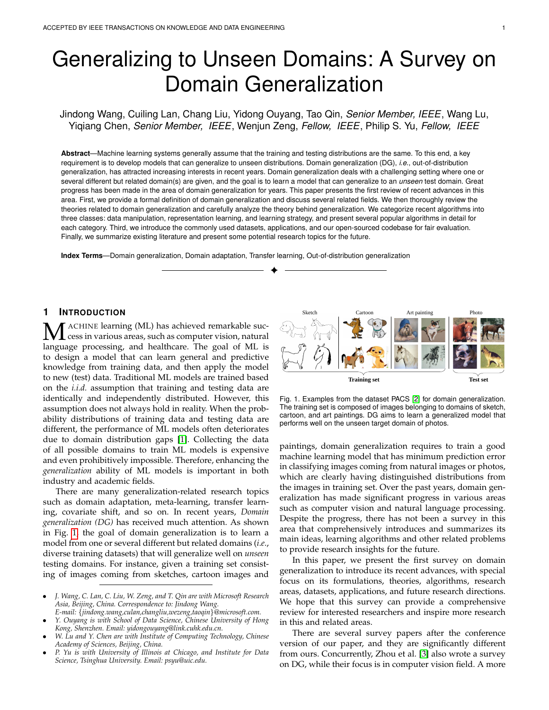

Fig. 3. Taxonomy of domain generalization methods.

is an active research area and other researchers also derived different DG theory bounds using informativeness [168] and adversarial training [102, 98, 168, 28].

# 4 METHODOLOGY

In this section, we introduce existing domain generalization methods in detail. As shown in Fig. 3, we categorize them into three groups, namely:

- (1) Data manipulation: This category of methods focuses on manipulating the inputs to assist learning general representations. Along this line, there are two kinds of popular techniques: a). Data augmentation, which is mainly based on augmentation, randomization, and transformation of input data; b). Data generation which generates diverse samples to help generalization.
- (2) Representation learning: This category of methods is the most popular in domain generalization. There are two representative techniques: a). Domain-invariant representation learning which performs kernel, adversarial training, explicitly feature alignment between domains, or invariant risk minimization to learn domaininvariant representations; b). Feature disentanglement which tries to disentangle the features into domainshared or domain-speci c parts for better generalization.
- (3) Learning strategy: This category of methods focuses on exploiting the general learning strategy to promote the generalization capability, which mainly includes several kinds of methods: a). Ensemble learning which relies on the power of ensemble to learn a uni-ed and generalized

predictive function; b). Meta-learning which is based on the learning-to-learn mechanism to learn general knowledge by constructing meta-learning tasks to simulate domain shift; c). Gradient operationwhich tries to learn generalized representations by directly operating on gradients; d). Distributionally robust optimization, which learns the worst-case distribution scenario of training domains; e). Self-supervised learning which constructs pretext tasks to learn generalized representations. Additionally, there are other learning strategy that can be used for DG.

These three categories of approaches are conceptually different. They are complementary to each other and can be combined towards higher performance. We will describe the approaches for each category in detail hereafter.

#### 4.1 Data Manipulation

We are always hungry for more training data in machine learning (ML). The generalization performance of a ML model often relies on the quantity and diversity of the training data. Given a limited set of training data, data manipulation is one of the cheapest and simplest way to generate samples so as to enhance the generalization capability of the model. The main objective for data manipulation-based DG is to increase the diversity of existing training data using different data manipulation methods. At the same time, the data quantity is also increased. Although the theoretical insight for why data augmentation or generation techniques can enhance the generalization ability of a model, experiments by Adila and Kang [169] showed that the model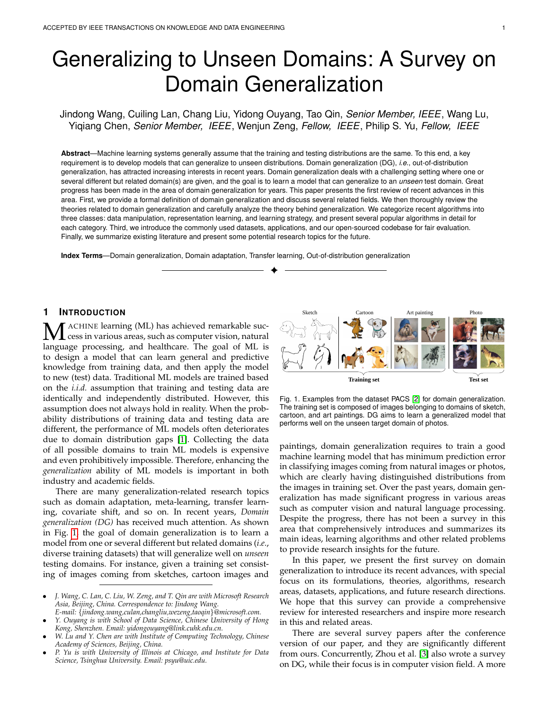tend to make predictions for both OOD and in-distribution samples based on trivial syntactic heuristics for NLP tasks.

We formulate the general learning objective of data manipulation-based DG as:

$$
\min_{h} E_{x,y} [\hat{h}(x); y] + E_{x^0,y} [\hat{h}(x^0); y)]; \qquad (13)
$$

where  $x^0 = M(x)$  denotes the manipulated data using a function M ( ). Based on the difference on this function, we further categorize existing work into two types: data augmentationand data generation.

#### 4.1.1 Data augmentation-based DG

Augmentation is one of the most useful techniques for training machine learning models. Typical augmentation operations include ipping, rotation, scaling, cropping, adding noise, and so on. They have been widely used in supervised learning to enhance the generalization performance of a model by reducing over tting [170, 36]. Without exception, they can also be adopted for DG where M ( ) can be instantiated as these data augmentation functions.

4.1.1.1 Domain randomization : Other than typical augmentation, domain randomization is an effective technique for data augmentation. It is commonly done by generating new data that can simulate complex environments based on the limited training samples. Here, the M ( ) function is implemented as several manual transformations (commonly used in image data) such as: altering the location and texture of objects, changing the number and shape of objects, modifying the illumination and camera view, and adding different types of random noise to the data. Tobin et al. [32] rst used this method to generate more training data from the simulated environment for generalization in the real environment. Similar techniques were also used in [33, 34, 35, 29] to strengthen the generalization capability of the models. Prakash et al. [30] further took into account the structure of the scene when randomly placing objects for data generation, which enables the neural network to learn to utilize context when detecting objects. Peng et al. [58] proposed to not only augment features, but also labels. It is easy to see that by randomization, the diversity of samples can be increased. But randomization is often random, indicating that there could be some useless randomizations that could be further removed to improve the ef ciency of the model.

4.1.1.2 Adversarial data augmentation : Adversarial data augmentation aims to guide the augmentation to optimize the generalization capability, by enhancing the diversity of data while assuring their reliability. Shankar et al. [37] used a Bayesian network to model dependence between label, domain and input instance, and proposed CrossGrad, a cautious data augmentation strategy that perturbs the input along the direction of greatest domain change while changing the class label as little as possible. Volpi et al. [38] proposed an iterative procedure that augments the source dataset with examples from a ctitious target domain that is "hard" under the current model, where adversarial examples are appended at each iteration to enable adaptive data augmentation. Zhou et al. [39] adversarially trained a transformation network for data augmentation instead of directly updating the inputs by gradient ascent while they adopted the regularization of weak and strong augmentation in [171, 31]. Adversarial data augmentation often

has certain optimization goals that can be used by the network. However, its optimization process often involves adversarial training, thus is dif cult.

#### 4.1.2 Data generation-based DG

Data generation is also a popular technique to generate diverse and rich data to boost the generalization capability of a model. Here, the function M ( ) can be implemented using some generative models such as Variational Autoencoder (VAE) [172], and Generative Adversarial Networks (GAN) [173]. In addition, it can also be implemented using the Mixup [174] strategy.

Rahman et al. [56] used ComboGAN [175] to generate new data and then applied domain discrepancy measure such as MMD [176] to minimize the distribution divergence between real and generated images to help learn general representations. Qiao et al. [40] leveraged adversarial training to create " ctitious" yet "challenging" populations, where a Wasserstein Auto-Encoder (WAE) [177] was used to help generate samples that preserve the semantic and have large domain transportation. Zhou et al. [43] generated novel distributions under semantic consistency and then maximized the difference between source and the novel distributions. Somavarapu et al. [57] introduced a simple transformation based on image stylization to explore crosssource variability for better generalization, where AdaIN [178] was employed to achieve fast stylization to arbitrary styles. Different from others, Li et al. [52] used adversarial training to generate domainsinstead of samples. These methods are more complex since different generative models are involved and we should pay attention to the model capacity and computing cost.

In addition to the above generative models, Mixup [174] is also a popular technique for data generation. Mixup generates new data by performing linear interpolation between any two instances and between their labels with a weight sampled from a Beta distribution, which does not require to train generative models. Recently, there are several methods using Mixup for DG, by either performing Mixup in the original space [47, 48, 54] to generate new samples; or in the feature space [49, 148, 55] which does not explicitly generate raw training samples. These methods achieved promising performance on popular benchmarks while remaining conceptually and computationally simple.

# 4.2 Representation Learning

Representation learning has always been the focus of machine learning for decades [179] and is also one of the keys to the success of domain generalization. We decompose the prediction function  $h$  ash = f g, where g is a representation learning function and f is the classi er function. The goal of representation learning can be formulated as:

$$
\min_{f,g} E_{x,y} (f(g(x)); y) + \, \tilde{e}_{\text{reg}}; \tag{14}
$$

where  $r_{\text{req}}$  denotes some regularization term and is the tradeoff parameter. Many methods are designed to better learn the feature extraction function g with corresponding reg. In this section, we categorize the existing literature on representation learning into two main categories based on different learning principles: domain-invariant representation learningand feature disentanglement .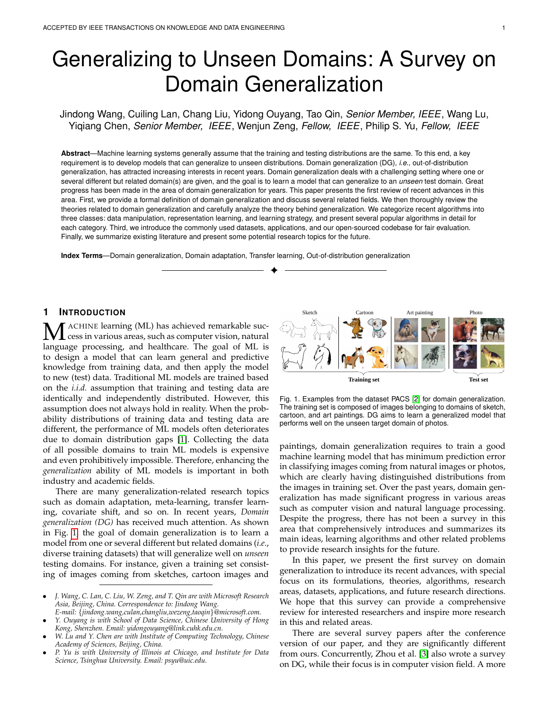#### 4.2.1 Domain-invariant representation-based DG

The work of [180] theoretically proved that if the feature representations remain invariant to different domains, the representations are general and transferable to different domains (also refer to Section 3). Based on this theory, a plethora of algorithms have been proposed for domain adaptation. Similarly, for domain generalization, the goal is to reduce the representation discrepancy between multiple source domains in a speci c feature space to be domain invariant so that the learned model can have a generalizable capability to the unseen domain. Along this line, there are mainly four types of methods: kernel-based methods, domain adversarial learning, explicit feature alignment, and invariant risk minimization.

4.2.1.1 Kernel-based methods : Kernel-based method is one of the most classical learning paradigms in machine learning. Kernel-based machine learning relies on the kernel function to transform the original data into a high-dimensional feature space without ever computing the coordinates of the data in that space, but by simply computing the inner products between the samples of all pairs in the feature space. One of the most representative kernel-based methods is Support Vector Machine (SVM) [181]. For domain generalization, there are plenty of algorithms based on kernel methods, where the representation learning function g is implemented as some feature map ( ) which is easily computed using kernel function k( ; ) such as RBF kernel and Laplacian kernel.

Blanchard et al. [6] rst used kernel method for domain generalization and extended it in [60]. They adopted the positive semi-de nite kernel learning to learn a domaininvariant kernel from the training data. Grubinger et al. [61] adapted transfer component analysis (TCA) [182] to bridge the multi-domain distance to be closer for DG. Similar to the core idea of TCA, Domain-Invariant Component Analysis (DICA) [27] is one of the classic methods using kernel for DG. The goal of DICA is to nd a feature transformation kernel  $k( ; )$  that minimizes the distribution discrepancy between all data in feature space. Gan et al. [62] adopted a similar method as DICA and further added attribute regularization. In contrast to DICA which deals with the marginal distribution, Li et al. [63] learned a feature representation which has domain-invariant class conditional distribution. Scatter component analysis (SCA) [64] adopted Fisher's discriminant analysis to minimize the discrepancy of representations from the same class and the same domain, and maximize the discrepancy of representations from the different classes and different domains. Erfani et al. [65] proposed an Elliptical Summary Randomisation (ES-Rand) that comprises of a randomised kernel and elliptical data summarization. ESRand projected each domain into an ellipse to represent the domain information and then used some similarity metric to compute the distance. Hu et al. [66] proposed multi-domain discriminant analysis to perform class-wise kernel learning for DG, which is more -ne-grained. To sum up, this category of methods is often highly related to other categories to act as their divergence measures or theoretical support.

4.2.1.2 Domain adversarial learning : Domainadversarial training is widely used for learning domaininvariant features. Ganin and Lempitsky [91] and Ganin et al. [92] proposed Domain-adversarial neural network (DANN) for domain adaptation, which adversarially trains the generator and discriminator. The discriminator is trained to distinguish the domains while the generator is trained to fool the discriminator to learn domain invariant feature representations. Li et al. [72] adopted such idea for DG. Gong et al. [93] used adversarial training by gradually reducing the domain discrepancy in a manifold space. Li et al. [94] proposed a conditional invariant adversarial network (CIAN) to learn class-wise adversarial networks for DG. Similar ideas were also used in [96, 99, 103]. Jia et al. [100] used single-side adversarial learning and asymmetric triplet loss to make sure only the real faces from different domains were indistinguishable, but not for the fake ones. After that, the extracted features of fake faces are more dispersed than before in the feature space and those of real ones are more aggregated, leading to a better generalized class boundary for unseen domains. In addition to adversarial domain classi cation, Zhao et al. [95] introduced additional entropy regularization by minimizing the KL divergence between the conditional distributions of different training domains to push the network to learn domain-invariant features. Some other GAN-based methods [45, 98, 102] were also proposed with theoretically guaranteed generalization bound.

4.2.1.3 Explicit feature alignment : This line of works aligns the features across source domains to learn domain-invariant representations through explicit feature distribution alignment [72, 183, 184, 185], or feature normalization [186, 187, 188, 70]. Motiian et al. [68] introduced a cross-domain contrastive loss for representation learning, where mapped domains are semantically aligned and yet maximally separated. Some methods explicitly minimized the feature distribution divergence by minimizing the maximum mean discrepancy (MMD) [189, 182, 190, 191], second order correlation [192, 193, 194], both mean and variance (moment matching) [184], Wasserstein distance [183],etc, of domains for either domain adaptation or domain generalization. Zhou et al. [183] aligned the marginal distribution of different source domains via optimal transport by minimizing the Wasserstein distance to achieve domain-invariant feature space.

Moreover, there are some works that used feature normalization techniques to enhance domain generalization capability [186, 187]. Pan et al. [186] introduced Instance Normalization (IN) layers to CNNs to improve the generalization capability of models. IN has been extensively investigated in the eld of image style transfer [195, 196, 178], where the style of an image is reected by the IN parameters, i.e., mean and variance of each feature channel. Thus, IN layers [197] could be used to eliminate instance-speci c style discrepancy to enhance generalization [186]. However, IN is task agnostic and may remove some discriminative information. In IBNNet, IN and Batch Normalization (BN) are utilized in parallel to preserve some discriminative information [186]. In [188], BN layers are replaced by Batch-Instance Normalization (BIN) layers, which adaptively balance BN and IN for each channel by selectively using BN and IN. Jin et al. [70, 71] proposed a Style Normalization and Restitution (SNR) module to simultaneously ensure both high generalization and discrimination capability of the net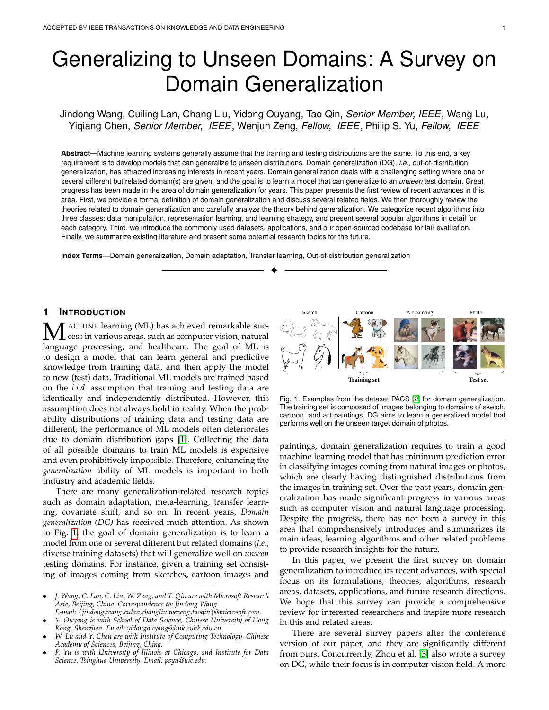works. After the style normalization by IN, a restitution step is performed to distill task-relevant discriminative features from the residual ( i.e., the difference between the original feature and the style normalized feature) and add them back to the network to ensure high discrimination. The idea of restitution is extended to other alignment-based method to restorate helpful discriminative information dropped by alignment [83]. Recently, Qi et al. [79] applied IN to unsupervised DG where there are no labels in the training domains to acquire invariant and transferable features. A combination of different normalization techniques is presented in [81] to show that adaptively learning the normalization technique can improve DG. This category of methods is more exible and can be applied to other kind of categories.

4.2.1.4 Invariant risk minimization (IRM) : Arjovsky et al. [104] considered another perspective on the domain-invariance of representation for domain generalization. They did not seek to match the representation distribution of all domains, but to enforce the optimal classi er on top of the representation space to be the same across all domains. The intuition is that the ideal representation for prediction is the causeof y, and the causal mechanism should not be affected by other factors/mechanisms, thus is domain-invariant. Formally, IRM can be formulated as:

$$
\begin{array}{ccc}\n & \mathbf{M} & \\
& \text{min} & \\
& \text{g2G} \\
& \text{if } 2^{\text{T}} \underset{i=1}{\text{arg min}} \text{ arg min}_{f \text{ } 0_{2F}} & \text{if } (f \circ g) \text{ i=1}\n\end{array}
$$
\n(15)

for some function classes F of g and F of f. The constraint for f embodies the desideratum that all domains share the same representation-level classi er, and the objective function encourages f and g to achieve a low source domain risk. However, this problem is hard to solve as it involves an inner-level optimization problem in its constraint. The authors then develop a surrogate problem to learn the feature extractor g that is much more practical:

$$
\min_{g \geq G} \sum_{i=1}^{M} (g) + r_i^{-i} (f g)_{f=1}^{2}; \qquad (16)
$$

where a dummy representation-level classi er  $f = 1$  is considered, and the gradient norm term measures the optimality of this classi er. The work also presents a generalization theory under a perhaps strong linear assumption, that for plenty enough source domains, the ground-truth invariant classi er can be identi ed.

IRM has gain notable visibility recently. There are some further theoretical analyses on the success [112] and failure cases of IRM [111], and IRM has been extended to other tasks including text classi cation [110] and reinforcement learning [198]. The idea to pursue the invariance of optimal representation-level classi er is also extended. Krueger et al. [106] promote this invariance by minimizing the extrapolated risk among source domains, which essentially minimizes the variance of source-domain risks. Mitrovic et al. [107] aim to learn such a representation in a selfsupervised setup, where the second domain is constructed by data augmentation showing various semantic-irrelevant variations. Recently, Ahuja et al. [105] found the invariance of f alone is not suf cient. They found IRM still fails if gcaptures "fully informative invariant features", which makes y

independent of x on all domains. This is particularly the case for classi cation (vs. regression) tasks. An information bottleneck regularization is hence introduced to maintain only partially informative features.

# 4.2.2 Feature disentanglement-based DG

Disentangled representation learning aims to learn a function that maps a sample to a feature vector, which contains all the information about different factors of variation and each dimension (or a subset of dimensions) contains information about only some factor(s). Disentanglement based DG approaches in general decompose a feature representation into understandable compositions/sub-features, with one feature being domain-shared/invariant feature and the other domain-speci c feature. The optimization objective of disentanglement-based DG can be summarized as:

$$
\min_{g_c; g_s; f} E_{x;y} (f(g_c(x)); y) + \iota_{reg} + \iota_{recon} ([g_c(x); g_s(x)]; x);
$$
\n(17)

where  $g_c$  and  $g_s$  denote the domain-shared and domainspeci c feature representations, respectively. and are tradeoff parameters. The loss  $_{reg}$  is a regularization term that explicitly encourages the separation of the domain shared and specic features and `<sub>recon</sub> denotes a reconstruction loss that prevents information loss. Note that  $[q_c(x); q_s(x)]$  denotes the combination of two kinds of features (which is not limited to concatenation operation).

Based on the choice of network structures and implementation mechanisms, disentanglement-based DG can mainly be categorized into three types: multi-component analysis, generative modeling and causality-inspired methods

4.2.2.1 Multi-component analysis : In multicomponent analysis, the domain-shared and domainspeci c features are in general extracted using the domain-shared and domain-speci c network parameters. The method of UndoBias [115] started from a SVM model to maximize interval classi cation on all training data for domain generalization. They represented the parameters of the i-th domain as  $w_i = w_0 + \cdots$ , where  $w_0$  denotes the domain-shared parameters and  $\overrightarrow{a}$  denotes the domainspeci c parameters. Some other methods extented the idea of UndoBias from different aspects. Niu et al. [116] proposed to use multi-view learning for domain generalization. They proposed Multi-view DG (MVDG) to learn the combination of exemplar SVMs under different views for robust generalization. Ding and Fu [122] designed domain-speci-c networks for each domain and one shared domaininvariant network for all domains to learn disentangled representations, where low-rank reconstruction is adopted to align two types of networks in structured low-rank fashion. Li et al. [2] extended the idea of UndoBias into the neural network context and developed a low-rank parameterized CNN model for end-to-end training. Zunino et al. [123] learned disentangled representations through manually comparing the attention heat maps for certain areas from different domains. There are also other works that adopt multi-component analysis for disentanglement [118, 113, 114, 117, 121, 199, 200, 201, 119]. In general, multi-component analysis can be implemented in different architectures and remains effective for representation disentanglement.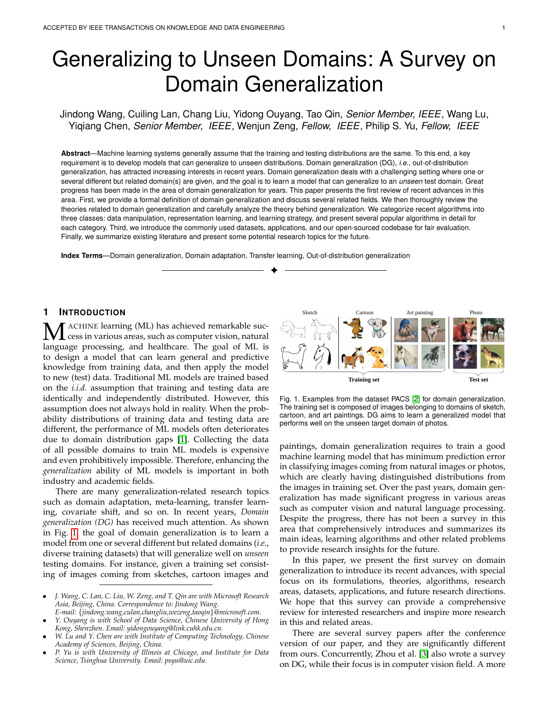4.2.2.2 Generative modeling : Generative models can be used for disentanglement from the perspective of data generation process. This kind of methods tries to formulate the generative mechanism of the samples from the domain-level, sample-level, and label-level. Some works further disentangle the input into class-irrelevant features, which contain the information related to speci c instance [202]. The Domain-invariant variational autoencoder (DIVA) [124] disentangled the features into domain information, category information, and other information, which is learned in the VAE framework. Peng et al. [125] disentangled the ne-grained domain information and category information that are learned in VAEs. Qiao et al. [40] also used VAE for disentanglement, where they proposed a Uni ed Feature Disentanglement Network (UFDN) that treated both data domains and image attributes of interest as latent factors to be disentangled. Similarly, Zhang et al. [126] disentangled the semantic and variational part of the samples. Similar spirits also include [130, 129]. Nam et al. [127] proposed to disentangle the style and other information using generative models that their method is both for domain adaptation and domain generalization. Generative models can not only improve OOD performance, but can also be used for generation tasks, which we believe is useful for many potential applications.

4.2.2.3 Causality-inspired methods : Causality is a -ner description of variable relations beyond statistics (joint distribution). Causal relation gives information of how the system will behave under intervention, so it is naturally suitable for transfer learning tasks, since domain shift can be seen as an intervention. Particularly, under the causal consideration, the desired representation is the true cause of the label (e.g., object shape), so that prediction will not be affected by intervention on correlated but semantically irrelevant features (e.g., background, color, style). There are a number of works [203, 204, 205, 206] that exploited causality for domain adaptation.

For domain generalization, He et al. [136] reweighted input samples in a way to make the weighted correlation re ect causal effect. Zhang et al. [134] took Fourier features as the causing factors of images, and enforce the independence among these features. Using the additional data of object identity (it is a more detailed label than the class label), [207] enforced the conditional independence of the representation from domain index given the same object. When such object label is unavailable, [76] further learned an object feature based on labels in a separate stage. For single-source domain generalization, [107, 135] used data augmentation to present information of the causal factor. The augmentation operation is seen as producing outcomes under intervention on irrelevant features, which is implemented based on speci c domain knowledge. There are also generative methods under the causal consideration. Zhang et al. [131] explicitly modeled a manipulation variable that causes domain shift, which may be unobserved. Liu et al. [132] leveraged causal invariance for single-source generalization, i.e., the invariance of the process of generating  $(x, y)$ data based on the factors, which is explained more general than inference invariance that existing methods implicitly rely on. The two factors are allowed correlated which is more realistic. They theoretically prove the identi ability of

the causal factor is possible and the identi cation bene ts generalization. Sun et al. [133] extended the method and theory to multiple source domains. With more informative data, the irrelevant factor is also identi able.

# 4.3 Learning Strategy

In addition to data manipulation and representation learning, DG was also studied in general machine learning paradigms, which is divided into several categories: ensemble learning-based DG neta-learning-based D, Ggradient operation-based D, Gdistributionally robust optimization-based DG, self-supervised learning-based Dend other strategies

#### 4.3.1 Ensemble learning-based DG

Ensemble learning usually combines multiple models, such as classi ers or experts, to enhance the power of models. For domain generalization, ensemble learning exploits the relationship between multiple source domains by using speci c network architecture designs and training strategies to improve generalization. They assume that any sample can be regarded as an integrated sample of the multiple source domains, so the overall prediction result can be seen as the superposition of the multiple domain networks.

Mancini et al. [139] proposed to use learnable weights for aggregating the predictions from different source speci c classi ers, where a domain predictor is used to predict the probability that a sample belongs to each domain (weights). Segu et al. [69] maintained domain-dependent batch normalization (BN) statistics and BN parameters for different source domains while all the other parameters were shared. In inference, the nal prediction was a linear combination of the domain-dependent models with the combination weights inferred by measuring the distances between the instance normalization statistics of the test sample and the accumulated population statistics of each domain. The work of [137] proposed domain-speci c layers of different source domains and learning the linear aggregation of these layers to represent a test sample. Zhou et al. [8] proposed Domain Adaptive Ensemble Learning (DAEL), where a DAEL model is composed of a CNN feature extractor shared across domains and multiple domain-speci c classi er heads. Each classi er is an expert to its own domain and a non-expert to others. DAEL aims to learn these experts collaboratively, by teaching the non-experts with the expert so as to encourage the ensemble to learn how to handle data from unseen domains. There are also other works [138, 142]. Ensemble learning remains a powerful tool for DG since ensemble allows more diversity of models and features. However, one drawback of ensemble learning-based DG is maybe its computational resources as we need more space and computations for training and saving different models.

#### 4.3.2 Meta-learning-based DG

The key idea of meta-learning is to learn a general model from multiple tasks by either optimization-based methods [208], metric-based learning [209], or model-based methods [210]. The idea of meta-learning has been exploited for domain generalization. They divide the data form multisource domains into meta-train and meta-test sets to sim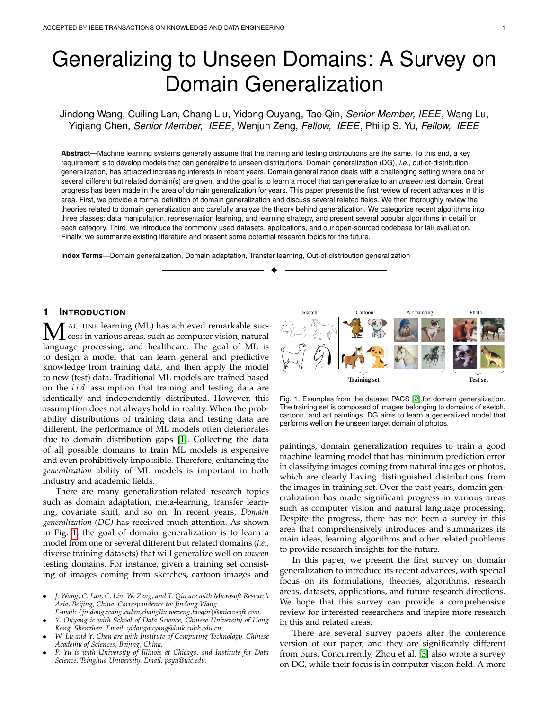ulate domain shift. Denote the model parameters to be learned, meta-learning can be formulated as:

$$
= Learn(S_{mte}; )
$$
  
= Learn(S<sub>mte</sub>; MetaLearn(S<sub>mtrn</sub>)); (18)

where  $=$  MetaLearn( $S<sub>mtrn</sub>$ ) denotes the meta-learned parameters from the meta-train set  $S<sub>mtrn</sub>$  which is then used to learn the model parameters on the meta-test set  $S<sub>nte</sub>$ . The two functions Learn() and MetaLearn() are to be designed and implemented by different meta-learning algorithms, which corresponds to a bi-level optimization problem. The gradient update can be formulated as:

= @(`(Smte ; ) + ` (Smtrn ; )) @ ; (19)

where and are learning rates for outer and inner loops, respectively.

Finn et al. [208] proposed Model-agnostic meta-learning (MAML). Inspired by MAML, Li et al. [17] proposed MLDG (meta-learning for domain generalization) to use the metalearning strategy for DG. MLDG splits the data from the source domains into meta-train and meta-test to simulate the domain shift situation to learn general representations. Balaji et al. [18] proposed to learn a meta regularizer (MetaReg) for the classier. [19] proposed feature-critic training for the feature extractor by designing a meta optimizer. Dou et al. [143] used the similar idea of MLDG and additionally introduced two complementary losses to explicitly regularize the semantic structure of feature space. Du et al. [20] proposed an extended version of information bottleneck named Meta Variational Information Bottleneck (MetaVIB). They regularize the Kullback–Leibler (KL) divergence between distributions of latent encoding of the samples that have the same category from different domains and learn to generate weights by using stochastic neural networks. Recently, some works also adopted meta-learning for semi-supervised DG or discriminative DG [144, 145, 147, 44, 211]. Meta-learning is widely adopted in DG research and it can be incorporated into several paradigms such as disentanglement [199]. Meta-learning performs well on massive domains since meta-learning can seek transferable knowledge from multiple tasks.

#### 4.3.3 Gradient operation-based DG

Other than meta-learning and ensemble learning, several recent works consider using gradient information to force the network to learn generalized representations. Huang et al. [150] proposed a self-challenging training algorithm that aims to learn general representations by manipulating gradients. They iteratively discarded the dominant features activated on the training data, and forced the network to activate remaining features that correlate with labels. In this way, network can be forced to learn from more bad cases which will improve generalization ability. Shi et al. [151] proposed a gradient-matching scheme, where their assumption is that the gradient direction of two domains should be the same to enhance common representation learning. To this end, they proposed to maximize the gradient inner product (GIP) to align the gradient direction across domains. With this operation, the network can nd weights such

that the input-output correspondence is as close as possible across domains. GIP can be formulated as:

$$
L = L_{cls} (S_{train} ; ) \frac{2}{M (M - 1)} \bigg|_{i,j}^{\mathcal{K}j} G_i G_j ; \qquad (20)
$$

where  $G_i$  and  $G_i$  are gradient for two domains that can be calulated as  $G = E \frac{\mathcal{Q}(x, y; \cdot)}{\mathcal{Q}}$ . The gradient-invariance was achieved by adding CORAL [193] loss between gradients in [152], while Tian et al. [153] maximized the neuron coverage of DNN with gradient similarity regularization between the original and the augmented samples. Additionally, Wang et al. [154] designed a knowledge distillation approach for based on gradient Itering.

#### 4.3.4 Distributionally robust optimization-based DG

The goal of distributionally robust optimization (DRO) [212] is to learn a model at worst-case distribution scenario to hope it can generalize well to the test data, which shares similar goal as DG. To optimize the worst-case distribution scenario, Sagawa et al. [213] proposed a GroupDRO algorithm that requires explicit group annotation of the samples. Such annotation was later narrowed down to a small fraction of validation set in [155], where they formulated a two-stage weighting framework. Other researchers reduced the variance of training domain risks by risk extrapolation (VRex) [106] or reducing class-conditioned Wasserstein DRO [158]. Recently, Koh et al. [157] proposed the setting of subpopulation shift where they also applied DRO to this problem. Particularly, Du et al. [80] proposed AdaRNN, a similar algorithm to the spirit of DRO that did not require explicit group annotation; instead, they learned the worst-case distribution scenario by solving an optimization problem. To summarize, DRO focuses on the optimization process that can also be leveraged in DG research.

#### 4.3.5 Self-supervised learning-based DG

Self-supervised learning (SSL) is a recently popular learning paradigm that builds self-supervised tasks from the largescale unlabeled data [214]. Inspired by this, Carlucci et al. [159] introduced a self-supervision task of solving jigsaw puzzles to learn generalized representations. Apart from introducing new pretext tasks, contrastive learning is another popular paradigm of self-supervised learning, which was adopted in several recent works [160, 162, 161]. The core of contrastive learning is to perform unsupervised learning between positive and negative pairs. Note that self-supervised learning is a general paradigm that can be applied to any existing DG methods, especially unsupervised DG where there are no labels in training domains [79]. Another possible application of SSL-based DG is the pretraining of multidomain data that trains powerful pretraining models while also handling domain shifts. However, a possible limitation of SSL-based DG maybe its computational ef ciency and requirement of computing resources.

# 4.3.6 Other learning strategy for DG

There are some other learning strategies for domain generalization. For instance, metric learning was adopted in [167] to explore better pair-wise distance for DG. Ryu et al. [163] used random forest to improve the generalization ability of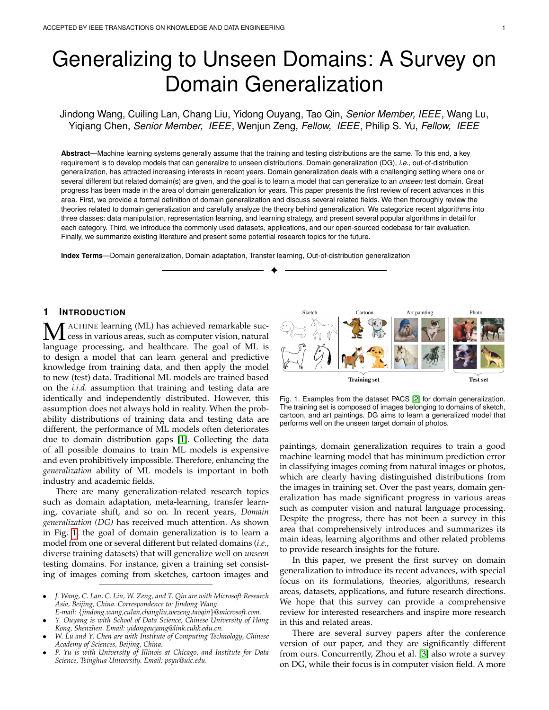convolutional neural networks (CNN). They sampled the triplets based on the probability mass function of the split results given by random forest, which is used for updating the CNN parameters by triplet loss. Other works [215, 216] adopted model calibration for DG, where they argued that the calibrated performance has a close relationship with OOD performance. Zhang et al. [165] followed the lottery ticket hyphothesis to design network substructures for DG, while Narayanan et al. [164] focused on the shape-invariant features. Additionally, Cha et al. [166] observed the at minima is important to DG and they designed a simple stochastic weight averaging densely method to nd the at minima. Since DG is a general learning problem, there will be more works that uses other strategy in the future.

# 5 OTHER DOMAIN GENERALIZATION RESEARCH AREAS

Most of the existing literature on domain generalization adopt the basic (traditional) de nition of DG in Def. 2. There is some existing literature that extends such setting to new scenarios to push the frontiers of DG (ref. TABLE 3). This section brie y discuss the existing DG research areas to give the readers a brief overview of this problem.

#### 5.1 Single-source Domain Generalization

Setting  $M = 1$  in Def. 2 gives single-source DG. Compared to traditional DG ( $M > 1$ ), single-source DG becomes more challenging since there are less diversity in training domains. Thus, the key to this problem is to generate novel domains using data generation techniques to increase the diversity and informativeness of training data. Several methods designed different generation strategies [217, 100, 160, 52, 135, 58, 40, 81, 59] for single-source next gets more general and challenging, there will be other<br>gies [217, 100, 160, 52, 135, 58, 40, 81, 59] for single-source next assess here a sixtenate behav DG in computer vision tasks. A recent work [80] studied this setting in time series data where there is usually one uni-ed dataset by using min-max optimization. We expect more application areas can bene t from single-source DG.

#### 5.2 Semi-supervised Domain Generalization

Compared to traditional DG, semi-supervised DG does not require the full labels of training domains. It is common to apply existing semi-supervised learning algorithms such as FixMatch [221] and FlexMatch [222] to learn pseudo labels for the unlabeled samples. For instance, two recent works adopted the consistency regularization in semi-supervised learning [171, 218] for semi-supervised DG. It can be seen that this setting is more general than traditional DG and we expect there will be more works in this area.

#### 5.3 Federated Learning with Domain Generalization

Privacy and security of machine learning is becoming increasingly critical [223]. Mahajan et al. [224] rstly studied this problem and showed that if the features are stable, then the model is more robust to membership inference attack. In federated DG [225, 226], models do not access the raw training data; instead, they aggregate the parameters from different clients. Under this circumstance, the key is to design better aggregation scheme through generalization



Fig. 4. Several applications of domain generalization.

techniques [219, 220, 138]. Federated DG is more important in healthcare [227]. On the other hand, decentralized training is another possible solution [228]. However, similar privacy risks emerge when there is a need to update the model. Thus, we hope there could be more research.

# 5.4 Other DG Settings

There are also other settings in DG, such as open domain generalization [54] and unsupervised domain generalization [79]. Open DG shares the similar setting of universal domain adaptation where the training and test label spaces are not the same. Unsupervised DG assumes that all labels in the training domains are not accessible. As the environ-DG research areas aiming at solving certain limitations.

# 6 APPLICATIONS

In this section, we discuss the popular tasks/applications for domain generalization (ref. Fig. 4).

High generalization ability is desired in various vision tasks. Many works investigate DG on classi cation. Some works also study DG for semantic segmentation [93], action recognition [114, 146], face anti-spoo ng [96], person Re-ID [47, 83], street view recognition [40], video understanding [116], and image compression [229]. Medical analysis [120] is one of the important application areas for DG due to its nature of data scarcity and existence of domain gaps, with the tasks of tissue segmentation [143], Parkinson's disease recognition [27], activity recognition [65], chest X-ray recognition [76, 90], and EEG-based seizure detection [88].

Apart from those areas, DG is also useful in reinforcement learning of robot control [49, 17] to generalize to an unseen environment. Some work used DG to recognize speech utterance [37, 117], fault diagnosis [90, 74, 73], physics [89], brain-computer interface [86].

In natural language processing, it is also common that training data comes from different domains with different distributions and DG techniques are helpful. Some work used domain generalization for sentiment classi cation on the Amazon Review dataset [103, 18]. Others used DG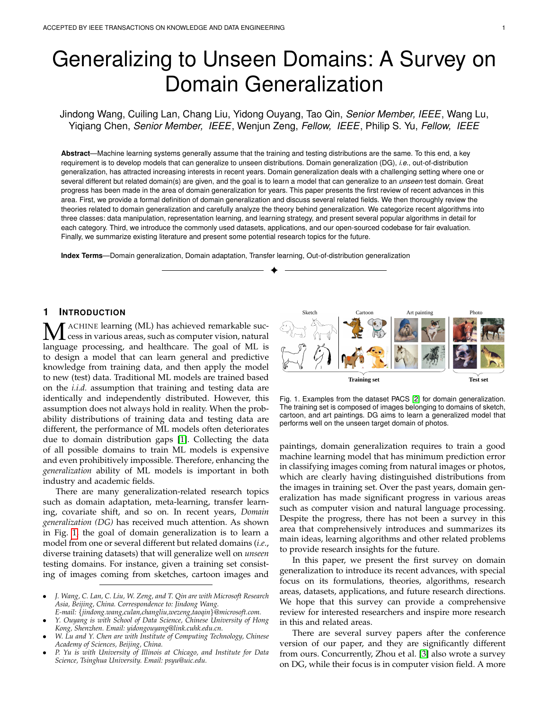TABLE 3 Existing research areas of domain generalization

| Setting                                                                                                                                                                                                                  | De nition                                                                                                                                                                                                             | Reference                                                                                                            |  |  |
|--------------------------------------------------------------------------------------------------------------------------------------------------------------------------------------------------------------------------|-----------------------------------------------------------------------------------------------------------------------------------------------------------------------------------------------------------------------|----------------------------------------------------------------------------------------------------------------------|--|--|
| Traditional domain generalization<br>Single-source domain generalization<br>Semi-supervised domain generalization<br>Federated domain generalization<br>Open domain generalization<br>Unsupervised domain generalization | Def. 2<br>$Set M = 1$ in Def. 2<br>$Strain$ is partially labeled<br>S <sub>train</sub> cannot broadcast to the server<br>$6 \text{Y}_{\text{test}}$<br>$\mathsf{Y}_{\mathsf{train}}$<br>$Strain$ is totally unlabeled | Most of this paper<br>[217, 100, 160, 52, 135, 58, 40, 217, 81, 59]<br>[171, 218]<br>[219, 220, 138]<br>[54]<br>[79] |  |  |

for semantic parsing [147], web page classi cation [45]. For instance, if we are given natural language data from multiple domains and want to learn a generalized model that predicts well on any new domain, we can use domain generalization to acquire domain-invariant representations.

Moreover, DG techniques favor broad prospects in some applications, such as nancial analysis, weather prediction, and logistics. For instance, Du et al. [80] tried to adopt DG to time series modeling. They rst propose the temporal covariate shift problem that widely exists in time series data, then, they proposed an RNN-based model to solve this problem to align the hidden representations between any pair of training data that are from different domains. Their algorithm, the so-called AdaRNN, was applied to stock price prediction, weather prediction, and electric power consumption. Another example is [128], where they applied domain generalization to sensor-based human activity recognition. In their application, the activity data from different persons are from different distributions, resulting in severe model collapse when applied to new users. To resolve such problem, they developed a variational autoencoderbased network to learn the domain-invariant and domainspeci c modules, thus achieving the disentanglement.

In the future, we hope there can be more DG applications in other areas to tackle with the distributional shift that widely exists in different applications. Another important problem is the evaluation of DG algorithms without accessing the test distribution in reality. While we can use the test data for evaluation in research, we simply cannot do it for real applications. In this case, one possible approach would be performing meta-train and meta-test split for the original data for multiple times. In each time, one split can be regarded as the unseen test data while the other as the training data. We can call it the meta-cross-validation for DG in reality. At the same time, we also hope there could be more evaluation metrics. For more evaluation in research, please refer to the next section.

# 7 DATASETS , EVALUATION , AND BENCHMARK

In this section, we summarize the existing common datasets and model selection strategies for domain generalization. Then, we introduce the codebase, DeepDG, and demonstrate some observations from experiment conducted via it.

# 7.1 Datasets

TABLE 4 offers an overview of several popular datasets. Among them, PACS [2], VLCS [231], and Of ce-Home [232]

are three most popular datasets. For large-scale evaluation, DomainNet [234] and Wilds [157] ( i.e., a collection of datasets in TABLE 4 with `-wilds') are becoming popular.

Besides the datasets mentioned above, there exists some other datasets for domain generalization with different tasks. The Graft-versus-host disease (GvHD) dataset [246] is also popular and is used to test several methods [27, 6] for the ow cytometry problem. This dataset was collected from 30 patients with sample sizes ranging from 1,000 to 10,000. This is a time series classi cation dataset. Some works [93, 29, 71] applied domain generalization to semantic segmentation, where CityScape [247] and GTA5 [248] datasets were adopted as benchmark datasets. Some works applied DG to object detection, using the datasets of Cityscapes [247], GTA5 [248], Synthia [249] for investigation [71]. Some other works used public datasets or RandPerson [250] for person re-identi-cation [187, 251, 70]. Some works [17, 49] used the OpenAI Gym [252] as the testbed to evaluate the performance of algorithms in reinforcement learning problems such as Cart-Pole and mountain car.

In addition to these widely used datasets, there are also other datasets used in existing literature. The Parkinson's telemonitoring dataset [253] is popular for predicting the clinician's motor and total UPDRS scoring of Parkinson's disease symptoms from voice measures. Some methods [27, 60, 61] used the data from several people as the training domains to learn models that generalize to unseen subjects.

It is worth noting that the datasets of domain generalization have some overlaps with domain adaptation. For instance, Of ce-31, Of ce-Caltech, Of ce-Home, and DomainNet are also widely used benchmarks for domain adaptation. Therefore, most domain adaptation datasets can be used for domain generalization benchmark in addition to those we discussed here. For example, Amazon Review dataset [254] is widely used in domain adaptation. It has four different domains on product review (DVDs, Kitchen appliance, Electronics and Books), which can also be used for domain generalization.

#### 7.2 Evaluation

To test domain generalization algorithm on a test domain, three strategies are proposed [87], namely, Test-domain validation set Leave-one-domain-out cross-validatiand Trainingdomain validation set. Test-domain validation set utilizes parts of the target domain as validations. Although it can obtain the best performance in most circumstances for that validation and testing share the same distribution, there is often no access to targets when training, which means it cannot be adopted in real applications. Leave-one-domain-out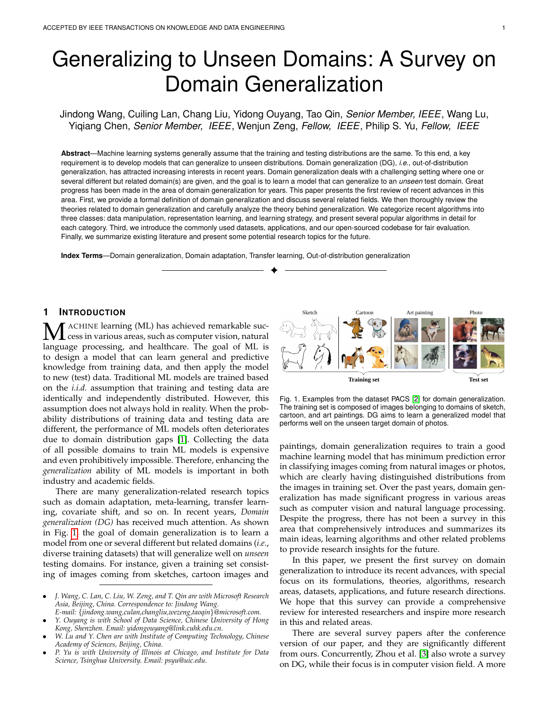| TABI F 4                                                                                         |  |
|--------------------------------------------------------------------------------------------------|--|
| Eighteen popular datasets for domain generalization. The last ten datasets are from WILDS [157]. |  |

| Dataset              | #Domain | #Class         | #Sample | Description                                                    | Reference  |
|----------------------|---------|----------------|---------|----------------------------------------------------------------|------------|
| Of ce-Caltech        |         | 10             | 2,533   | Caltech, Amazon, Webcam, DSLR                                  | $[230]$    |
| Of ce-31             |         | 31             | 4.110   | Amazon, Webcam, DSLR                                           | [230]      |
| <b>PACS</b>          |         |                | 9,991   | Art. Cartoon. Photos. Sketches                                 | [2]        |
| <b>VLCS</b>          |         | 5              | 10,729  | Caltech101, LabelMe, SUN09, VOC2007                            | [231]      |
| Of ce-Home           |         | 65             | 15,588  | Art, Clipart, Product, Real                                    | [232]      |
| Terra Incognita      |         | 10             | 24,788  | Wild animal images taken at locations L100, L38, L43, L46      | [233]      |
| <b>Rotated MNIST</b> |         | 10             | 70,000  | Digits rotated from 0 to 90 with an interval of 15             | [67]       |
| DomainNet            | 6       | 345            | 586,575 | Clipart, Infograph, Painting, Quickdraw, Real, Sketch          | [234]      |
| iWildCam2020-wilds   | 323     | 182            | 203,029 | Species classi cation across different camera traps            | [235]      |
| Camelyon17-wilds     |         |                | 45,000  | Tumor identi cation across ve different hospitals              | $[236]$    |
| RxRx1-wilds          | 51      | 1.139          | 84,898  | Genetic perturbation classi cation across experimental batches | $[237]$    |
| OGB-MoIPCBA          | 120,084 | 128            | 400,000 | Molecular property prediction across different scaffolds       | [238]      |
| GlobalWheat-wilds    | 47      | bounding boxes | 6,515   | Wheat head detection across regions of the world               | [239]      |
| CivilComments-wilds  |         | 2              | 450,000 | Toxicity classi cation across demographic identities           | $[240]$    |
| <b>FMoW-wilds</b>    | 80      | 62             | 118,886 | Land use classi cation across different regions and years      | [241]      |
| PovertyMap-wilds     | 46      | real value     | 19,669  | Poverty mapping across different countries                     | $[242]$    |
| Amazon-wilds         | 3920    | 5              | 539.502 | Sentiment classi cation across different users                 | [243]      |
| Py150-wilds          | 8,421   | next token     | 150,000 | Code completion across different codebases                     | (244, 245) |

is another strategy to choose the nal model when training data contains multiple sources. It leaves one training source as the validation while treating the others as the training part. Obviously, when only a single source exists in the training data, it is no longer applicable. In addition, due to different distributions among sources and targets, nal results rely heavily on the selections of validation, which makes nal results unstable. The most common strategy for domain generalization is Training-domain validation set which is used in most existing work. In this strategy, each source is split into two parts, the training part and the validation part. All training parts are combined for training while all validation parts are combined for selecting the best model. Since there still exists divergences between the combined validation and the real unseen targets, this simple and most popular strategy cannot achieve the best performance for some time.

We need to mention that there may exist other evaluation protocols for DG such as [168] since designing effective evaluation protocols is often consistent with the OOD performance. Currently, most of the works adopted the traindomain validation strategy which may not always generate good performance since the distribution of validation set is not the same as the new training data. On the other hand, using accuracy alone may not be suf cient to valid the model performance. We are looking forward to new evaluation metrics that can truly re ect the properties test distributions as much as possible in order to obtain better results.

# 7.3 Benchmark

To test the performance of DG algorithms in a uni-ed codebase, in this paper, we develop a new codebase for DG, named DeepDG[255, 256]. Compared to the existing DomainBed [87], DeepDG simpli es the data loading and model selection process, while also makes it possible to run all experiments in a single machine. DeepDG splits the whole process into a data preparation part, a model part, a core algorithm part, a program entry, and some other auxiliary functions. Each part can be freely modi ed by users without affecting other parts. Users can add their own

TABLE 5 Benchmark results for PACS and Of ce-Home with DeepDG.

| Dataset            | <b>PACS</b> |      |      |      |            | Of ce-Home |      |      |      |      |
|--------------------|-------------|------|------|------|------------|------------|------|------|------|------|
| Method             | А           | C    | P    | s    | <b>AVG</b> | Α          | C    | Р    | R    | AVG  |
| <b>ERM</b>         | 77.0        | 74.5 | 95.5 | 77.8 | 81.2       | 58.6       | 47.9 | 72.2 | 73.0 | 62.9 |
| <b>DANN [92]</b>   | 78.7        | 75.3 | 94.0 | 77.8 | 81.4       | 57.7       | 44.4 | 71.9 | 72.5 | 61.6 |
| <b>CORAL</b> [193] | 77.7        | 77.0 | 92.6 | 80.5 | 82.0       | 58.7       | 48.7 | 72.3 | 73.6 | 63.3 |
| Mixup [174]        | 79.1        | 73.4 | 94.4 | 76.7 | 80.9       | 55.7       | 47.9 | 71.9 | 72.8 | 62.1 |
| <b>RSC [150]</b>   | 79.7        | 76.1 | 95.6 | 76.6 | 82.0       | 58.9       | 49.2 | 72.5 | 74.2 | 63.7 |
| GroupDRO [213]     | 76.0        | 76.0 | 91.2 | 79.0 | 80.6       | 57.6       | 48.7 | 71.5 | 73.1 | 62.7 |
| ANDMask [257]      | 76.2        | 73.8 | 91.6 | 78.0 | 79.91      | 56.7       | 45.9 | 70.6 | 73.2 | 61.6 |

algorithms or datasets to DeepDG and compare with some state-of-the-art methods fairly. The current public version of DeepDG is only for image classi cation and we offer supports for Of ce-31, PACS, VLCS, and Of ce-Home datasets. Currently, nine state-of-the-art methods are implemented under the same environment, and it covers all three groups, including Data manipulation (Mixup [174]), Representation learning (DDC [189], DANN [91], CORAL [192]), and Learning strategy (MLDG [17], RSC [150], GroupDRO [156], ANDMask [257]).

We conduct some experiments on the two most popular image classi cation datasets, PACS and Of ce-Home, with DeepDG and TABLE 5 shows the results. ResNet-18 is used as the base feature network. Training-domain validation set is used for selecting nal models, and 20% of sources are for validation while the others are for training. From TABLE 5, we observe more insightful conclusions. (1) The baseline method, ERM, has achieved acceptable results on both datasets. Some methods, such as DANN and ANDMask, even have worse performance. (2) Simple data augmentation method, Mixup, cannot obtain remarkable results. (3) CORAL has slight improvements on both datasets compared to ERM, which is consistent with results offered by DomainBed [87]. (4) RSC, a learning strategy, achieves the best performance on both datasets, but the improvements are unremarkable compared to ERM. The results indicate the bene-ts of domain generalization in different tasks.

# 8 DISCUSSION

In this section, we summarize existing methods and then present several challenges for future.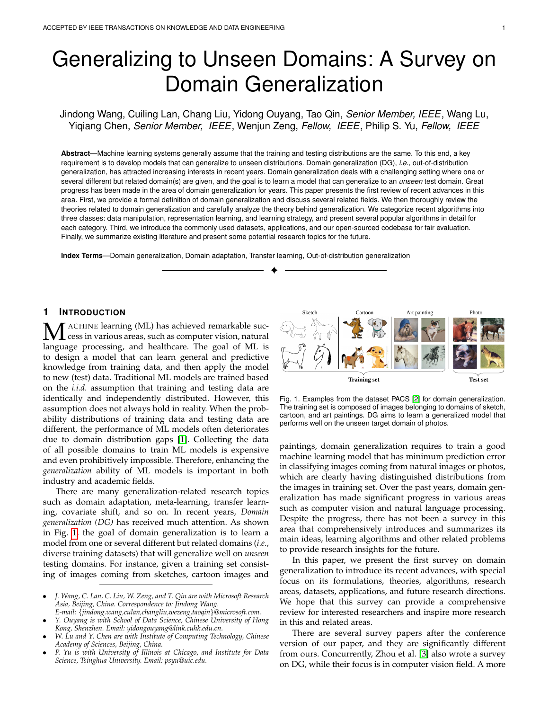#### 8.1 Summary of Existing Literature

The quantity and diversity of training data are critical to a model's generalization ability. Many methods aim to enrich the training data with the data manipulation methods to achieve good performance. However, one issue of the data manipulation methods is that there is a lack of theoretical guarantee of the unbound risk of generalization. Therefore, it is important to develop theories for the manipulationbased methods which could further guide the data generation designs without violating ethical standards.

Compared to data manipulation, representation learning has theoretical support in general [180, 6, 102]. Kernelbased methods are widely used in traditional methods while deep learning-based methods play a leading role in recent years. While domain adversarial training often achieves better performance in domain adaptation, in DG, we did not see signi cant results improvements from these adversarial methods. We think this is probably because the task is relatively easy. For the explicit distribution matching, more and more works tend to match the joint distributions rather than just match the marginal [6, 72] or conditional [63] distributions. Thus, it is more feasible to perform dynamic distribution matching [190, 191]. Both disentanglement and IRM methods have good motivations for generalization, while more ef cient training strategy can be developed. There are several studies [258] that pointed out merely learning domain-invariant features are insuf cient and representation smoothness should also be considered.

For learning strategy, there is a trend that many works used meta-learning for DG, where it requires to design better optimization strategies to utilize the rich information of different domains. In addition to deep networks, there are also some work [163] that used random forest for DG, and we hope more diverse methods will come.

#### 8.2 Future Research Challenges

# 8.2.1 Continuous domain generalization

For many real applications, a system consumes streaming data with non-stationary statistics. In this case, it is of great importance to perform continuous domain generalization that ef ciently updates DG models to overcome catastrophic forgetting and adapts to new data. While there are some domain adaptation methods focusing on continuous learning [259], there are only very few investigations on continuous DG [260] whenever this is favorable in real scenarios.

# 8.2.2 Domain generalization to novel categories

The existing DG algorithms usually assume the label space for different domains are the same. A more practical and general setting is to support the generalization on new categories,i.e., both domain and task generalization. This is conceptually similar to the goal of meta-learning and zeroshot learning. Some work [85, 261] proposed zero-shot DG and we expect more work to come in this area. There are some prior work [54, 262] that tried to use the boundarybased learning paradigms or consistency regularization to solve this problem, which are good approaches that future work might build methods upon them.

#### 8.2.3 Interpretable domain generalization

Disentanglement-based DG methods decompose a feature into domain-invariant/shared and domain-speci c parts, which provide some interpretation to DG. For other categories of methods, there is still a lack of deep understanding of the semantics or characteristics of learned features in DG models. For example, how to relate the results of the approach with the input feature space. How close are current methods to provide this level of interpretability? Causality [132] may be one promising tool to understand domain generalization networks and provide interpretations.

#### 8.2.4 Large-scale pre-training/self-learning and DG

In recent years, we have witnessed the rapid development of large-scale pre-training/self-learning, such as BERT [263], GPT-3 [264], and Wav2vec [265]. Pre-training on large-scale dataset and then netuning the model to downstream tasks could improve its performance, where pre-training is bene cial to learn general representations. Therefore, how to design useful and ef cient DG methods to help large-scale pre-training/self-learning is worth investigating.

#### 8.2.5 Test-time Generalization

While DG focuses on the training phase, we can also request test-time generalization in inference phase. This further bridges domain adaptation and domain generalization since we can also use the inference unlabeled data for adaptation. Very few recent works [266, 267] paid attention to this setting. Compared to traditional DG, test-time generalization will allow more exibility in inference time, while it requires less computation and more ef ciency as there are often limited resources in inference-end devices.

# 8.2.6 Performance evaluation for DG

The recent work [87] pointed out that on several datasets, the performance of some DG methods is almost the same as the baseline (i.e., ERM). We do not take it as the full evidence that DG is not useful in real applications. Instead, we argue that this might be due to the inappropriate evaluation schemes in use today, or the domain gaps not being so large. In more realistic situations such as person ReID where there are obvious domain gaps [71], the improvement of DG is dramatic. Therefore, we stay positive about the value of DG and hope researchers can also nd more suitable settings and datasets for the study.

# 9 CONCLUSION

Generalization has always been an important research topic in machine learning research. In this paper, we review the domain generalization areas by providing in-depth analysis of theories, existing methods, datasets, benchmarks, and applications. Then, we thoroughly analyze the methods. Based on our analysis, we provide several potential research challenges that could be the directions of future research. We hope that this survey can provide useful insights to researchers and inspire more progress in the future.

# ACKNOWLEDGEMENT

This work is supported in part by NSFC (No. 61972383), NSF under grants III-1763325, III-1909323, III-2106758, and SaTC-1930941.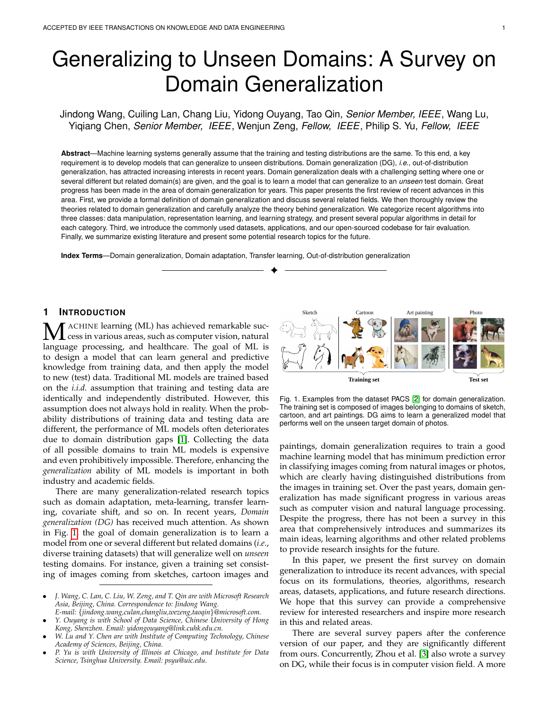#### **REFERENCES**

- [1] J. Quiñonero-Candela, M. Sugiyama, N. D. Lawrence, and A. Schwaighofer, Dataset shift in machine learning. Mit Press, 2009.
- [2] D. Li, Y. Yang, Y.-Z. Song, and T. M. Hospedales, "Deeper, broader and artier domain generalization," in ICCV, 2017, pp. 5542–5550.
- [3] K. Zhou, Z. Liu, Y. Qiao, T. Xiang, and C. C. Loy, "Domain generalization in vision: A survey," arXiv:2103.025032021.
- [4] Z. Shen, J. Liu, Y. He, X. Zhang, R. Xu, H. Yu, and P. Cui, "Towards out-of-distribution generalization: A survey," arXiv preprint arXiv:2108.1362,42021.
- [5] J. Yang, K. Zhou, Y. Li, and Z. Liu, "Generalized out-ofdistribution detection: A survey," arXiv preprint:2110.1133,42021.
- [6] G. Blanchard, A. A. Deshmukh, Ü. Dogan, G. Lee, and C. Scott, "Domain generalization by marginal transfer learning," J. Mach. Learn. Res.vol. 22, pp. 2-1, 2021.
- [7] R. Caruana, "Multitask learning," Machine learning vol. 28, no. 1, pp. 41–75, 1997.
- [8] K. Zhou, Y. Yang, Y. Qiao, and T. Xiang, "Domain adaptive ensemble learning," IEEE TIP, 2021.
- [9] S. Pan and Q. Yang, "A survey on transfer learning," IEEE TKDE, vol. 22, pp. 1345–1359, 2010.
- [10] K. Weiss, T. M. Khoshgoftaar, and D. Wang, "A survey of transfer learning," Journal of Big datavol. 3, no. 1, pp. 1-40, 2016.
- [11] F. Zhuang, Z. Qi, K. Duan, D. Xi, Y. Zhu, H. Zhu, H. Xiong, and Q. He, "A comprehensive survey on transfer learning," Proceedings of the IEE Eol. 109, no. 1, pp. 43-76, 2020.
- M. Wang and W. Deng, "Deep visual domain adaptation: A survey," Neurocomputing vol. 312, pp. 135-153, 2018.
- [13] V. M. Patel, R. Gopalan, R. Li, and R. Chellappa, "Visual domain adaptation: A survey of recent advances," IEEE signal processing magazinevol. 32, no. 3, pp. 53–69, 2015.
- [14] R. Vilalta and Y. Drissi, "A perspective view and survey of metalearning," Artif. Intell. Rev., vol. 18, no. 2, pp. 77–95, 2002.
- [15] T. Hospedales, A. Antoniou, P. Micaelli, and A. Storkey, "Metalearning in neural networks: A survey," IEEE TPAMI, 2020.
- [16] J. Vanschoren, "Meta-learning: A survey," arXiv preprint arXiv:1810.035482018.
- [17] D. Li, Y. Yang, Y.-Z. Song, and T. M. Hospedales, "Learning to generalize: Meta-learning for domain generalization," in AAAI , 2018.
- [18] Y. Balaji, S. Sankaranarayanan, and R. Chellappa, "Metareg: Towards domain generalization using meta-regularization," in NeurIPS, 2018, pp. 998–1008.
- [19] Y. Li, Y. Yang, W. Zhou, and T. M. Hospedales, "Feature-critic networks for heterogeneous domain generalization," in ICML, 2019.
- [20] Y. Du, J. Xu, H. Xiong, Q. Qiu, X. Zhen, C. G. M. Snoek, and L. Shao, "Learning to learn with variational information bottleneck for domain generalization," in ECCV, 2020.
- [21] M. Biesialska, K. Biesialska, and M. R. Costa-jus<sup>s</sup>, "Continual lifelong learning in natural language processing: A survey," in COLING, 2020.
- [22] W. Wang, V. W. Zheng, H. Yu, and C. Miao, "A survey of zeroshot learning: Settings, methods, and applications," ACM Trans. Intelligent Systems and Technologyol. 10, no. 2, pp. 1-37, 2019.
- [23] Z. JI, H. WANG, Y. YU, and Y. PANG, "A decadal survey of zero-shot image classi cation," SCIENTIA SINICA Informationis, vol. 49, no. 10, pp. 1299–1320, 2019.
- [24] S. Ben-David, J. Blitzer, K. Crammer, A. Kulesza, F. Pereira, and J. W. Vaughan, "A theory of learning from different domains," Machine learning vol. 79, no. 1-2, pp. 151-175, 2010.
- [25] F. D. Johansson, D. Sontag, and R. Ranganath, "Support and invertibility in domain-invariant representations," in AISTAS, 2019, pp. 527–536.
- [26] V. Vapnik, E. Levin, and Y. L. Cun, "Measuring the vc-dimension of a learning machine," Neural computation vol. 6, no. 5, pp. 851-876, 1994.
- [27] K. Muandet, D. Balduzzi, and B. Schölkopf, "Domain generalization via invariant feature representation," in ICML, 2013.
- [28] A. A. Deshmukh, Y. Lei, S. Sharma, U. Dogan, J. W. Cutler, and C. Scott, "A generalization error bound for multi-class domain generalization," arXiv:1905.103922019.
- [29] X. Yue, Y. Zhang, S. Zhao, A. Sangiovanni-Vincentelli, K. Keutzer, and B. Gong, "Domain randomization and pyramid consistency: Simulation-to-real generalization without accessing target domain data," in ICCV, 2019, pp. 2100–2110.
- [30] A. Prakash, S. Boochoon, M. Brophy, D. Acuna, E. Cameracci, G. State, O. Shapira, and S. Birch eld, "Structured domain randomization: Bridging the reality gap by context-aware synthetic data," in ICRA. IEEE, 2019, pp. 7249–7255.
- [31] J. Huang, D. Guan, A. Xiao, and S. Lu, "Fsdr: Frequency space domain randomization for domain generalization," in CVPR, 2021, pp. 6891–6902.
- [32] J. Tobin, R. Fong, A. Ray, J. Schneider, W. Zaremba, and P. Abbeel, "Domain randomization for transferring deep neural networks from simulation to the real world," in IROS, 2017, pp. 23–30.
- [33] X. B. Peng, M. Andrychowicz, W. Zaremba, and P. Abbeel, "Simto-real transfer of robotic control with dynamics randomization," in ICRA. IEEE, 2018, pp. 1–8.
- [34] R. Khirodkar, D. Yoo, and K. Kitani, "Domain randomization for scene-speci c car detection and pose estimation," in WACV. IEEE, 2019, pp. 1932–1940.
- [35] J. Tremblay, A. Prakash, D. Acuna, M. Brophy et al., "Training deep networks with synthetic data: Bridging the reality gap by domain randomization," in CVPR Workshop2018.
- [36] N. H. Nazari and A. Kovashka, "Domain generalization using shape representation," in ECCV, 2020, pp. 666–670.
- [37] S. Shankar, V. Piratla, S. Chakrabarti, S. Chaudhuri, P. Jyothi, and S. Sarawagi, "Generalizing across domains via cross-gradient training," in ICLR, 2018.
- [38] R. Volpi, H. Namkoong, O. Sener, J. C. Duchi, V. Murino, and S. Savarese, "Generalizing to unseen domains via adversarial data augmentation," in NeurIPS, 2018, pp. 5334–5344.
- [39] K. Zhou, Y. Yang, T. Hospedales, and T. Xiang, "Deep domainadversarial image generation for domain generalisation," in AAAI , 2020.
- [40] F. Qiao, L. Zhao, and X. Peng, "Learning to learn single domain generalization," in CVPR, 2020, pp. 12 556–12 565.
- [41] A. H. Liu, Y.-C. Liu, Y.-Y. Yeh, and Y.-C. F. Wang, "A unied feature disentangler for multi-domain image translation and manipulation," in NeurIPS, 2018, pp. 2590–2599.
- [42] T.-D. Truong, C. N. Duong, K. Luu, and M.-T. Tran, "Recognition in unseen domains: Domain generalization via universal nonvolume preserving models," arXiv preprint:1905.130402019.
- [43] K. Zhou, Y. Yang, T. M. Hospedales, and T. Xiang, "Learning to generate novel domains for domain generalization," in ECCV, 2020.
- [44] Y. Zhao, Z. Zhong, F. Yang, Z. Luo, Y. Lin et al, "Learning to generalize unseen domains via memory-based multi-source meta-learning for person re-identi cation," in CVPR, 2021.
- [45] V. K. Garg, A. Kalai, K. Ligett, and Z. S. Wu, "Learn to expect the unexpected: Probably approximately correct domain generalization," in AISTAS, 2021.
- [46] F. M. Carlucci, P. Russo, T. Tommasi, and B. Caputo, "Hallucinating agnostic images to generalize across domains," in CVPR Workshop 2019, pp. 0-0.
- [47] W. Wang, S. Liao, F. Zhao, C. Kang, and L. Shao, "Domainmix: Learning generalizable person re-identi cation without human annotations," in BMCV, 2021.
- [48] Y. Wang, H. Li, and A. C. Kot, "Heterogeneous domain generalization via domain mixup," in ICASSP, 2020, pp. 3622–3626.
- [49] K. Zhou, Y. Yang, Y. Qiao, and T. Xiang, "Domain generalization with mixstyle," in ICLR, 2021.
- [50] T.-D. Truong, K. Luu, C.-N. Duong, N. Le, and M.-T. Tran, "Image alignment in unseen domains via domain deep generalization," arXiv preprint arXiv:1905.120282019.
- [51] A. Robey, G. J. Pappas, and H. Hassani, "Model-based domain generalization," in NeurIPS, 2021.
- [52] L. Li, K. Gao, J. Cao, Z. Huang, Y. Weng, X. Mi, Z. Yu, X. Li, and B. Xia, "Progressive domain expansion network for single domain generalization," in CVPR, 2021, pp. 224–233.
- [53] P. Li, D. Li, W. Li, S. Gong, Y. Fu, and T. M. Hospedales, "A simple feature augmentation for domain generalization," in ICCV, 2021, pp. 8886–8895.
- [54] Y. Shu, Z. Cao, C. Wang, J. Wang, and M. Long, "Open domain generalization with domain-augmented meta-learning," in CVPR, 2021, pp. 9624–9633.
- [55] Q. Xu, R. Zhang, Y. Zhang, Y. Wang, and Q. Tian, "A fourierbased framework for domain generalization," in CVPR, 2021.
- [56] M. M. Rahman, C. Fookes, M. Baktashmotlagh, and S. Sridharan, "Multi-component image translation for deep domain generalization," in WACV. IEEE, 2019, pp. 579-588.
- [57] N. Somavarapu, C.-Y. Ma, and Z. Kira, "Frustratingly simple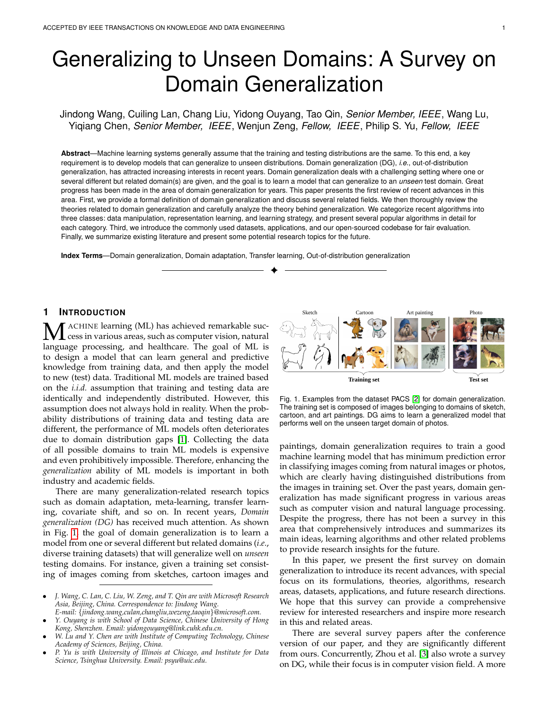domain generalization via image stylization," arXiv:2006.11207, 2020.

- [58] X. Peng, F. Qiao, and L. Zhao, "Out-of-domain generalization from a single source: A uncertainty quanti cation approach," arXiv preprint arXiv: 2108.028882021.
- [59] Z. Wang, Y. Luo, R. Qiu, Z. Huang, and M. Baktashmotlagh, "Learning to diversify for single domain generalization," in ICCV, 2021, pp. 834–843.
- [60] G. Blanchard, A. A. Deshmukh, U. Dogan, G. Lee, and C. Scott, "Domain generalization by marginal transfer learning," arXiv preprint arXiv:1711.079102017.
- [61] T. Grubinger, A. Birlutiu, H. Sch öner, T. Natschläger, and T. Heskes, "Domain generalization based on transfer component analysis," in ICANN , 2015, pp. 325–334.
- [62] C. Gan, T. Yang, and B. Gong, "Learning attributes equals multisource domain generalization," in CVPR, 2016, pp. 87–97.
- [63] Y. Li, M. Gong, X. Tian, T. Liu, and D. Tao, "Domain generalization via conditional invariant representations," in AAAI , 2018.
- [64] M. Ghifary, D. Balduzzi, W. B. Kleijn, and M. Zhang, "Scatter component analysis: A uni ed framework for domain adaptation and domain generalization," IEEE TPAMI, vol. 39, no. 7, pp. 1414–1430, 2016.
- [65] S. Erfani, M. Baktashmotlagh, M. Moshtaghi, V. Nguyen, C. Leckie, J. Bailey, and R. Kotagiri, "Robust domain generalisation by enforcing distribution invariance," in AAAI, 2016.
- [66] S. Hu, K. Zhang, Z. Chen, and L. Chan, "Domain generalization via multidomain discriminant analysis," in UAI , vol. 35, 2019.
- [67] M. Ghifary, W. Kleijn, M. Zhang, and D. Balduzzi, "Domain generalization for object recognition with multi-task autoencoders," ICCV, pp. 2551–2559, 2015.
- [68] S. Motiian, M. Piccirilli, D. A. Adjeroh, and G. Doretto, "Uni ed deep supervised domain adaptation and generalization," in ICCV, 2017, pp. 5715–5725.
- [69] M. Segu, A. Tonioni, and F. Tombari, "Batch normalization embeddings for deep domain generalization," arXiv preprint arXiv:2011.126722020.
- [70] X. Jin, C. Lan, W. Zeng, Z. Chen, and L. Zhang, "Style normalization and restitution for generalizable person re-identi cation," in CVPR, 2020, pp. 3143–3152.
- [71] X. Jin, C. Lan, W. Zeng, and Z. Chen, "Style normalization and restitution for domain generalization and adaptation," IEEE Trans. Multimedia, 2021.
- H. Li, S. J. Pan, S. Wang, and A. Kot, "Domain generalization with adversarial feature learning," in CVPR, 2018, pp. 5400-5409. [99]
- [73] H. Zheng, Y. Yang, J. Yin, Y. Li, R. Wang, and M. Xu, "Deep domain generalization combining a priori diagnosis knowledge toward cross-domain fault diagnosis of rolling bearing," IEEE Trans. on Instrumentation and Measurementol. 70, pp. 1-11, 2020.
- [74] Y. Liao, R. Huang, J. Li, Z. Chen, and W. Li, "Deep semisupervised domain generalization network for rotary machinery fault diagnosis under variable speed," IEEE Transactions on Instrumentation and Measurement ol. 69, no. 10, pp. 8064–8075, 2020.
- [75] H. Liu, P. Song, and R. Ding, "Towards domain generalization in underwater object detection," in ICIP. IEEE, 2020, pp. 1971–1975.
- [76] D. Mahajan, S. Tople, and A. Sharma, "Domain generalization using causal matching," in ICML, 2021.
- [77] S. Seo, Y. Suh, D. Kim, J. Han, and B. Han, "Learning to optimize domain speci c normalization for domain generalization," in ECCV, 2020.
- [78] W. Zhang, M. Ragab, and R. Sagarna, "Robust domain-free domain generalization with class-aware alignment," in ICASSP, 2021.
- [79] L. Qi, L. Wang, Y. Shi, and X. Geng, "Unsupervised domain generalization for person re-identi cation: A domain-speci c adaptive framework," arXiv preprint arXiv:2111.150772021.
- [80] Y. Du, J. Wang, W. Feng, S. Pan, T. Qin, R. Xu, and C. Wang, 'Adarnn: Adaptive learning and forecasting of time series," in CIKM, 2021, pp. 402–411.
- [81] X. Fan, Q. Wang, J. Ke, F. Yang, B. Gong, and M. Zhou, "Adversarially adaptive normalization for single domain generalization," in CVPR, 2021, pp. 8208–8217.
- [82] M. Planamente, C. Plizzari, E. Alberti, and B. Caputo, "Domain generalization through audio-visual relative norm alignment in rst person action recognition," in WACV, 2022.
- [83] X. Jin, C. Lan, W. Zeng, and Z. Chen, "Feature alignment and restoration for domain generalization and adaptation," in NeurIPS, 2020.
- [84] W. Lu, J. Wang, and Y. Chen, "Local and global alignments for generalizable sensor-based human activity recognition," in ICASSP, 2022.
- [85] U. Maniyar, A. A. Deshmukh, U. Dogan, V. N. Balasubramanian et al., "Zero shot domain generalization," in BMVC, 2020.
- [86] D.-K. Han and J.-H. Jeong, "Domain generalization for sessionindependent brain-computer interface," in International Winter Conference on Brain-Computer InterfaceEEE, 2021, pp. 1-5.
- [87] I. Gulrajani and D. Lopez-Paz, "In search of lost domain generalization," in ICLR, 2021.
- [88] K. Ayodele, W. Ikezogwo, M. Komolafe, and P. Ogunbona, "Supervised domain generalization for integration of disparate scalp eeg datasets for automatic epileptic seizure detection," Computers in Biology and Medicinevol. 120, p. 103757, 2020.
- [89] E. Chen, T. S. Mathai, V. Sarode, H. Choset, and J. Galeotti, "A study of domain generalization on ultrasound-based multiclass segmentation of arteries, veins, ligaments, and nerves using transfer learning," in Machine Learning for Health (ML4H) at NeurIPS 2020, 2020.
- [90] X. Li, W. Zhang, H. Ma, Z. Luo, and X. Li, "Domain generalization in rotating machinery fault diagnostics using deep neural networks," Neurocomputing vol. 403, pp. 409-420, 2020.
- [91] Y. Ganin and V. Lempitsky, "Unsupervised domain adaptation by backpropagation," in ICML, 2015, pp. 1180–1189.
- [92] Y. Ganin, E. Ustinova, H. Ajakan, P. Germain, H. Larochelle, F. Laviolette, M. Marchand, and V. Lempitsky, "Domainadversarial training of neural networks," J. Mach. Learn. Res. vol. 17, pp. 59:1–59:35, 2016.
- [93] R. Gong, W. Li, Y. Chen, and L. V. Gool, "Dlow: Domain ow for adaptation and generalization," in CVPR, 2019, pp. 2477–2486.
- [94] Y. Li, X. Tian, M. Gong, Y. Liu, T. Liu, K. Zhang, and D. Tao, "Deep domain generalization via conditional invariant adversarial networks," in ECCV, 2018, pp. 624–639.
- [95] S. Zhao, M. Gong, T. Liu, H. Fu, and D. Tao, "Domain generalization via entropy regularization," in NeurIPS, vol. 33, 2020.
- [96] R. Shao, X. Lan, J. Li, and P. C. Yuen, "Multi-adversarial discriminative deep domain generalization for face presentation attack detection," in CVPR, 2019, pp. 10 023–10 031.
- [97] T. Matsuura and T. Harada, "Domain generalization using a mixture of multiple latent domains," in AAAI, 2020.
- [98] A. Sicilia, X. Zhao, and S. J. Hwang, "Domain adversarial neural networks for domain generalization: When it works and how to improve," arXiv preprint arXiv:2102.039242021.
- M. M. Rahman, C. Fookes, M. Baktashmotlagh, and S. Sridharan, "Correlation-aware adversarial domain adaptation and generalization," Pattern Recognitionvol. 100, p. 107124, 2020.
- [100] Y. Jia, J. Zhang, S. Shan, and X. Chen, "Single-side domain generalization for face anti-spoo ng," in CVPR, 2020.
- [101] J. Luo, J. Guo, W. Qiu, Z. Huang, and H. Hui, "Scale invariant domain generalization image recapture detection," in ICONIP, 2021.
- [102] I. Albuquerque, J. Monteiro, T. H. Falk, and I. Mitliagkas, "Adversarial target-invariant representation learning for domain generalization,"  $arXiv$  preprint  $arXiv:1911.008042019$ .
- [103] Z. Wang, Q. Wang, C. Lv, X. Cao, and G. Fu, "Unseen target stance detection with adversarial domain generalization," in IJCNN, 2020, pp. 1–8.
- [104] M. Arjovsky, L. Bottou, I. Gulrajani, and D. Lopez-Paz, "Invariant risk minimization," arXiv preprint arXiv:1907.028932019.
- [105] K. Ahuja, E. Caballero, D. Zhang, Y. Bengio, I. Mitliagkas, and I. Rish, "Invariance principle meets information bottleneck for out-of-distribution generalization," in NeurIPS, 2021.
- [106] D. Krueger, E. Caballero, J.-H. Jacobsen, A. Zhang, J. Binas, D. Zhang, R. Le Priol, and A. Courville, "Out-of-distribution generalization via risk extrapolation (rex)," in ICML, 2021, pp. 5815–5826.
- [107] J. Mitrovic, B. McWilliams, J. C. Walker, L. H. Buesing, and C. Blundell, "Representation learning via invariant causal mechanisms," in ICLR, 2021.
- [108] R. Guo, P. Zhang, H. Liu, and E. Kiciman, "Out-of-distribution prediction with invariant risk minimization: The limitation and an effective x," arXiv preprint arXiv:2101.077322021.
- [109] K. Ahuja, J. Wang, A. Dhurandhar, K. Shanmugam, and K. R. Varshney, "Empirical or invariant risk minimization? a sample complexity perspective," in ICLR, 2021.
- [110] Y. J. Choe, J. Ham, and K. Park, "An empirical study of invariant risk minimization," arXiv preprint arXiv:2004.050072020.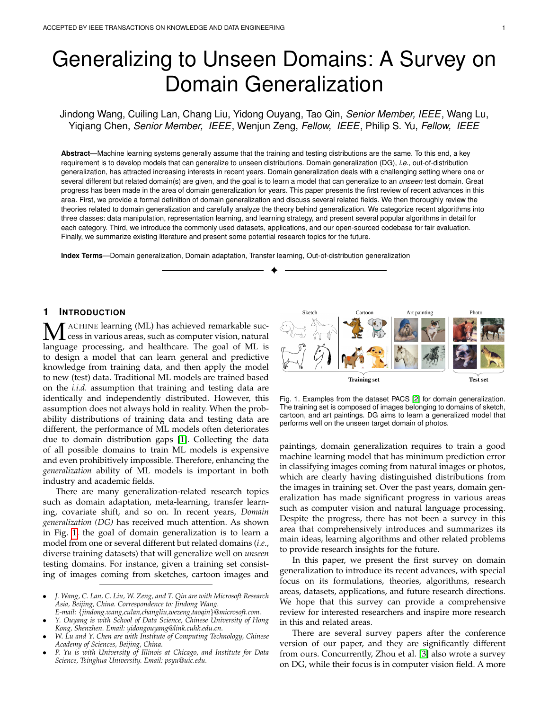- [111] E. Rosenfeld, P. Ravikumar, and A. Risteski, "The risks of invariant risk minimization," in ICLR, 2021.
- [112] K. Ahuja, K. Shanmugam, K. Varshney, and A. Dhurandhar, "Invariant risk minimization games," in ICML, 2020, pp. 145–155.
- [113] Z. Xu, W. Li, L. Niu, and D. Xu, "Exploiting low-rank structure from latent domains for domain generalization," in ECCV. Springer, 2014, pp. 628–643.
- [114] W. Li, Z. Xu, D. Xu, D. Dai, and L. Van Gool, "Domain generalization and adaptation using low rank exemplar svms," TPAMI, vol. 40, no. 5, pp. 1114–1127, 2017.
- [115] A. Khosla, T. Zhou, T. Malisiewicz, A. A. Efros, and A. Torralba, "Undoing the damage of dataset bias," in ECCV. Springer, 2012, pp. 158–171.
- [116] L. Niu, W. Li, and D. Xu, "Multi-view domain generalization for visual recognition," in ICCV, 2015, pp. 4193–4201.
- [117] V. Piratla, P. Netrapalli, and S. Sarawagi, "Ef cient domain generalization via common-speci c low-rank decomposition," in ICML, 2020, pp. 7728–7738.
- [118] A. A. Deshmukh, A. Bansal, and A. Rastogi, "Domain2vec: Deep domain generalization," arXiv preprint arXiv:1807.029192018.
- [119] X. Peng, Y. Li, and K. Saenko, "Domain2vec: Domain embedding for unsupervised domain adaptation," in ECCV, 2020, pp. 756– 774.
- [120] S. Hu, Z. Liao, J. Zhang, and Y. Xia, "Domain and content adaptive convolution for domain generalization in medical image segmentation," arXiv preprint arXiv:2109.056762021.
- [121] E. Trianta llou, H. Larochelle, R. Zemel, and V. Dumoulin, "Learning a universal template for few-shot dataset generalization," in ICML, 2021.
- [122] Z. Ding and Y. Fu, "Deep domain generalization with structured low-rank constraint," IEEE TIP, vol. 27, no. 1, pp. 304–313, 2017.
- [123] A. Zunino, S. A. Bargal, R. Volpi, M. Sameki, J. Zhang, S. Sclaroff, V. Murino, and K. Saenko, "Explainable deep classi cation models for domain generalization," in CVPR, 2021.
- [124] M. Ilse, J. M. Tomczak, C. Louizos, and M. Welling, "Diva: Domain invariant variational autoencoders," in Proceedings of the [151] Y. Shi, J. Seely, P. H. Torr, N. Siddharth, A. Hannun, N. Usunier, Third Conference on Medical Imaging with Deep Learniag20.
- [125] X. Peng, Z. Huang, X. Sun, and K. Saenko, "Domain agnostic learning with disentangled representations," in ICML, 2019.
- [126] H. Zhang, Y.-F. Zhang, W. Liu, A. Weller, B. Schölkopf, and E. P. Xing, "Towards principled disentanglement for domain generalization," in ICML2021 Machine Learning for Data Workshop 2021.
- [127] H. Nam, H. Lee, J. Park, W. Yoon, and D. Yoo, "Reducing domain gap by reducing style bias," in CVPR, 2021, pp. 8690–8699.
- [128] H. Qian, S. J. Pan, C. Miao, H. Qian, S. Pan, and C. Miao, "Latent independent excitation for generalizable sensor-based cross-person activity recognition," in AAAI , vol. 35, no. 13, 2021, pp. 11 921–11 929.
- [129] S. Choi, S. Jung, H. Yun, J. T. Kim, S. Kim, and J. Choo, "Robustnet: Improving domain generalization in urban-scene segmentation via instance selective whitening," in CVPR, 2021, pp. 11 580–11 590.
- [130] D. Li, J. Yang, K. Kreis, A. Torralba, and S. Fidler, "Semantic segmentation with generative models: Semi-supervised learning and strong out-of-domain generalization," in CVPR, 2021, pp. 8300–8311.
- [131] C. Zhang, K. Zhang, and Y. Li, "A causal view on robustness of neural networks," in NeurIPS, 2020.
- [132] C. Liu, X. Sun, J. Wang, T. Li, T. Qin, W. Chen, and T.-Y. Liu, "Learning causal semantic representation for out-of-distribution prediction," in NeurIPS, 2021.
- [133] X. Sun, B. Wu, X. Zheng, C. Liu, W. Chen, T. Qin, and T.-Y. Liu, "Recovering latent causal factor for generalization to distributional shifts," in NeurIPS, 2021.
- [134] X. Zhang, P. Cui, R. Xu, L. Zhou, Y. He, and Z. Shen, "Deep stable learning for out-of-distribution generalization," in CVPR, 2021, pp. 5372–5382.
- [135] C. Ouyang, C. Chen, S. Li, Z. Li, C. Qin, W. Bai, and D. Rueckert, "Causality-inspired single-source domain generalization for medical image segmentation," arXiv preprint arXiv:2111.12525, 2021.
- [136] Y. He, Z. Shen, and P. Cui, "Towards non-i.i.d. image classi cation: A dataset and baselines," Pattern Recognition2019.
- [137] A. D'Innocente and B. Caputo, "Domain generalization with domain-speci c aggregation modules," in German Conference on Pattern Recognition. Springer, 2018, pp. 187–198.
- [138] G. Wu and S. Gong, "Collaborative optimization and aggregation for decentralized domain generalization and adaptation," in ICCV, 2021, pp. 6484–6493.
- [139] M. Mancini, S. R. Bulo, B. Caputo, and E. Ricci, "Best sources forward: domain generalization through source-speci c nets," in ICIP, 2018, pp. 1353–1357.
- [140] W. He, H. Zheng, and J. Lai, "Domain attention model for domain generalization in object detection," in PRCV, 2018, pp. 27–39.
- [141] M. Mancini, S. R. Bulo, B. Caputo, and E. Ricci, "Robust place categorization with deep domain generalization," IEEE Robotics and Automation Lettersvol. 3, no. 3, pp. 2093-2100, 2018.
- [142] A. Dubey, V. Ramanathan, A. Pentland, and D. Mahajan, "Adaptive methods for real-world domain generalization," in CVPR, 2021, pp. 14 340–14 349.
- [143] Q. Dou, D. C. de Castro, K. Kamnitsas, and B. Glocker, "Domain generalization via model-agnostic learning of semantic features," in NeurIPS, 2019.
- [144] K. Chen, D. Zhuang, and J. M. Chang, "Discriminative adversarial domain generalization with meta-learning based crossdomain validation," Neurocomputing vol. 467, pp. 418-426, 2022.
- [145] H. Shari -Noghabi, H. Asghari, N. Mehrasa, and M. Ester, "Domain generalization via semi-supervised meta learning," arXiv preprint arXiv: 2009. 1265 820 20.
- [146] D. Li, J. Zhang, Y. Yang, C. Liu, Y.-Z. Song, and T. M. Hospedales, "Episodic training for domain generalization," in CVPR, 2019, pp. 1446–1455.
- [147] B. Wang, M. Lapata, and I. Titov, "Meta-learning for domain generalization in semantic parsing," in NAACL, 2021.
- [148] F. Qiao and X. Peng, "Uncertainty-guided model generalization to unseen domains," in CVPR, 2021, pp. 6790–6800.
- [149] J. Kim, J. Lee, J. Park, D. Min, and K. Sohn, "Self-balanced learning for domain generalization," in ICIP. IEEE, 2021, pp. 779–783.
- [150] Z. Huang, H. Wang, E. P. Xing, and D. Huang, "Self-challenging improves cross-domain generalization," in ECCV, vol. 2, 2020.
- and G. Synnaeve, "Gradient matching for domain generalization," in ICLR, 2022.
- [152] A. Rame, C. Dancette, and M. Cord, "Fishr: Invariant gradient variances for out-of-distribution generalization," arXiv preprint arXiv:2109.029342021.
- [153] C. X. Tian, H. Li, X. Xie, Y. Liu, and S. Wang, "Neuron coverageguided domain generalization," IEEE TPAMI, 2022.
- [154] Y. Wang, H. Li, L.-p. Chau, and A. C. Kot, "Embracing the dark knowledge: Domain generalization using regularized knowledge distillation," in Proceedings of the 29th ACM International Conference on Multimedia2021, pp. 2595-2604.
- [155] E. Z. Liu, B. Haghgoo, A. S. Chen, A. Raghunathan, P. W. Koh, S. Sagawa, P. Liang, and C. Finn, "Just train twice: Improving group robustness without training group information," in ICML, 2021, pp. 6781–6792.
- [156] S. Sagawa, P. W. Koh, T. B. Hashimoto, and P. Liang, "Distributionally robust neural networks for group shifts: On the importance of regularization for worst-case generalization," in ICLR, 2020.
- [157] P. W. Koh, S. Sagawa, H. Marklund, S. M. Xie, and other, "Wilds: A benchmark of in-the-wild distribution shifts," in ICML, 2021, pp. 5637–5664.
- [158] J. Wang, Y. Li, L. Xie, and Y. Xie, "Class-conditioned domain generalization via wasserstein distributional robust optimization," in RobustML workshop at ICLR2021.
- [159] F. M. Carlucci, A. D'Innocente, S. Bucci, B. Caputo, and T. Tommasi, "Domain generalization by solving jigsaw puzzles," in CVPR, 2019, pp. 2229–2238.
- [160] D. Kim, Y. Yoo, S. Park, J. Kim, and J. Lee, "Selfreg: Selfsupervised contrastive regularization for domain generalization," in ICCV, 2021, pp. 9619–9628.
- [161] S. Jeon, K. Hong, P. Lee, J. Lee, and H. Byun, "Feature stylization and domain-aware contrastive learning for domain generalization," in ACMMM , 2021, pp. 22–31.
- [162] Z. Li, Z. Cui, S. Wang, Y. Qi, X. Ouyang, Q. Chen, Y. Yang, Z. Xue, D. Shen, and J.-Z. Cheng, "Domain generalization for mammography detection via multi-style and multi-view contrastive learning," in MICCAI , 2021, pp. 98–108.
- [163] J. Ryu, G. Kwon, M.-H. Yang, and J. Lim, "Generalized convolutional forest networks for domain generalization and visual recognition," in ICLR, 2019.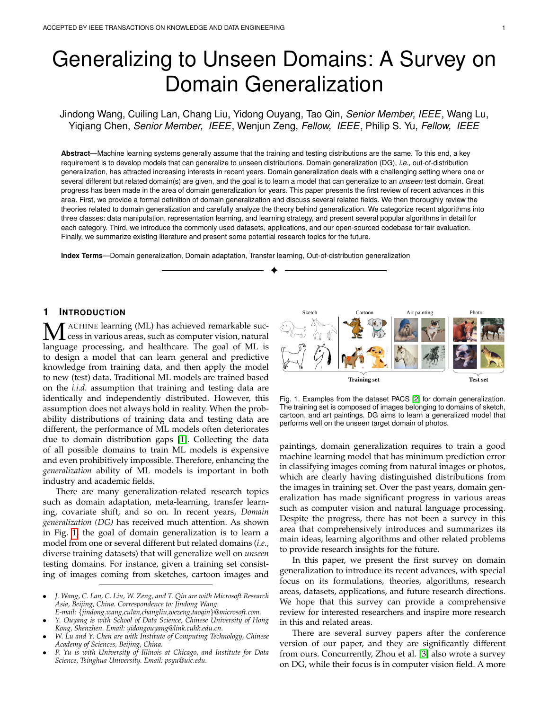- [164] M. Narayanan, V. Rajendran, and B. Kimia, "Shape-biased domain generalization via shock graph embeddings," in *ICCV*, 2021, pp. 1315–1325.
- [165] D. Zhang, K. Ahuja, Y. Xu, Y. Wang, and A. Courville, "Can subnetwork structure be the key to out-of-distribution generalization?" in *ICML*, 2021.
- [166] J. Cha, S. Chun, K. Lee, H.-C. Cho, S. Park, Y. Lee, and S. Park, "Swad: Domain generalization by seeking flat minima," in *NeurIPS*, 2021.
- [167] M. Faraki, X. Yu, Y.-H. Tsai, Y. Suh, and M. Chandraker, "Crossdomain similarity learning for face recognition in unseen domains," in *CVPR*, 2021, pp. 15 292–15 301.
- [168] H. Ye, C. Xie, T. Cai, R. Li, Z. Li, and L. Wang, "Towards a theoretical framework of out-of-distribution generalization," in *NeurIPS*, 2021.
- [169] D. Adila and D. Kang, "Understanding out-of-distribution: A perspective of data dynamics," in *NeurIPS workshop*, 2021.
- [170] C. Shorten and T. M. Khoshgoftaar, "A survey on image data augmentation for deep learning," *Journal of Big Data*, vol. 6, no. 1, pp. 1–48, 2019.
- [171] K. Zhou, C. C. Loy, and Z. Liu, "Semi-supervised domain generalization with stochastic stylematch," in *NeurIPS workshop*, 2021.
- [172] D. P. Kingma and M. Welling, "Auto-encoding variational bayes," *arXiv:1312.6114*, 2013.
- [173] I. J. Goodfellow, J. Pouget-Abadie, M. Mirza, B. Xu, D. Warde-Farley, S. Ozair, A. Courville, and Y. Bengio, "Generative adversarial networks," in *NIPS*, 2014.
- [174] H. Zhang, M. Cisse, Y. N. Dauphin, and D. Lopez-Paz, "mixup: Beyond empirical risk minimization," in *ICLR*, 2018.
- [175] A. Anoosheh, E. Agustsson, R. Timofte, and L. Van Gool, "Combogan: Unrestrained scalability for image domain translation," in *CVPR Workshop*, 2018, pp. 783–790.
- [176] A. Gretton, K. M. Borgwardt, M. J. Rasch, B. Schölkopf, and A. Smola, "A kernel two-sample test," *The Journal of Machine Learning Research*, vol. 13, no. 1, pp. 723–773, 2012.
- [177] I. Tolstikhin, O. Bousquet, S. Gelly, and B. Schoelkopf, "Wasserstein auto-encoders," *arXiv preprint arXiv:1711.01558*, 2017.
- [178] X. Huang and S. Belongie, "Arbitrary style transfer in real-time with adaptive instance normalization," in *ICCV*, 2017.
- [179] Y. Bengio, A. Courville, and P. Vincent, "Representation learning: A review and new perspectives," *IEEE TPAMI*, vol. 35, no. 8, pp. 1798–1828, 2013.
- [180] S. Ben-David, J. Blitzer, K. Crammer, F. Pereira *et al.*, "Analysis of representations for domain adaptation," in *NIPS*, vol. 19, 2007.
- [181] C. Cortes and V. Vapnik, "Support-vector networks," *Machine learning*, vol. 20, no. 3, pp. 273–297, 1995.
- [182] S. J. Pan, I. Tsang, J. T. Kwok, and Q. Yang, "Domain adaptation via transfer component analysis," *IEEE TNN*, vol. 22, pp. 199–210, 2011.
- [183] F. Zhou, Z. Jiang, C. Shui, B. Wang, and B. Chaib-draa, "Domain generalization with optimal transport and metric learning," *ArXiv*, vol. abs/2007.10573, 2020.
- [184] X. Peng, Q. Bai, X. Xia, Z. Huang, K. Saenko, and B. Wang, "Moment matching for multi-source domain adaptation," in *ICCV*, 2019, pp. 1406–1415.
- [185] R. Zhu and S. Li, "Self-supervised universal domain adaptation with adaptive memory separation," in *ICDM*, 2021.
- [186] X. Pan, P. Luo, J. Shi, and X. Tang, "Two at once: Enhancing learning and generalization capacities via ibn-net," in *ECCV*, 2018, pp. 464–479.
- [187] J. Jia, Q. Ruan, and T. M. Hospedales, "Frustratingly easy person re-identification: Generalizing person re-id in practice," *BMVC*, 2019.
- [188] H. Nam and H.-E. Kim, "Batch-instance normalization for adaptively style-invariant neural networks," in *NeurIPS*, 2018.
- [189] E. Tzeng, J. Hoffman, N. Zhang, K. Saenko, and T. Darrell, "Deep domain confusion: Maximizing for domain invariance," *arXiv preprint arXiv:1412.3474*, 2014.
- [190] J. Wang, W. Feng, Y. Chen, H. Yu, M. Huang, and P. S. Yu, "Visual domain adaptation with manifold embedded distribution alignment," in *ACMMM*, 2018, pp. 402–410.
- [191] J. Wang, Y. Chen, W. Feng, H. Yu, M. Huang, and Q. Yang, "Transfer learning with dynamic distribution adaptation," *ACM TIST*, vol. 11, no. 1, pp. 1–25, 2020.
- [192] B. Sun, J. Feng, and K. Saenko, "Return of frustratingly easy domain adaptation," in *AAAI*, 2016.
- [193] B. Sun and K. Saenko, "Deep coral: Correlation alignment for

deep domain adaptation," in *ECCV*, 2016, pp. 443–450.

- [194] X. Peng and K. Saenko, "Synthetic to real adaptation with generative correlation alignment networks," in *WACV*. IEEE, 2018, pp. 1982–1991.
- [195] D. Ulyanov, A. Vedaldi, and V. Lempitsky, "Improved texture networks: Maximizing quality and diversity in feed-forward stylization and texture synthesis," in *CVPR*, 2017, pp. 6924–6932.
- [196] V. Dumoulin, J. Shlens, and M. Kudlur, "A learned representation for artistic style," *ICLR*, 2017.
- [197] D. Ulyanov, A. Vedaldi, and V. Lempitsky, "Instance normalization: The missing ingredient for fast stylization," *arXiv preprint arXiv:1607.08022*, 2016.
- [198] A. Sonar, V. Pacelli, and A. Majumdar, "Invariant policy optimization: Towards stronger generalization in reinforcement learning," in *Learning for Dynamics and Control*, 2021, pp. 21–33.
- [199] H. Bui, T. Tran, A. T. Tran, and D. Phung, "Exploiting domainspecific features to enhance domain generalization," in *NeurIPS*, 2021.
- [200] C. Kang and K. Nandakumar, "Dynamically decoding source domain knowledge for unseen domain generalization," *arXiv preprint arXiv:2110.03027*, 2021.
- [201] C. Liu, L. Wang, K. Li, and Y. Fu, "Domain generalization via feature variation decorrelation," in *ACMMM*, 2021, pp. 1683– 1691.
- [202] Y. Wang, H. Li, L.-P. Chau, and A. C. Kot, "Variational disentanglement for domain generalization," *arXiv preprint arXiv:2109.05826*, 2021.
- [203] B. Schölkopf, D. Janzing, J. Peters, E. Sgouritsa, K. Zhang, and J. M. Mooij, "On causal and anticausal learning," in *ICML*, 2012, pp. 1255–1262.
- [204] K. Zhang, B. Schölkopf, K. Muandet, and Z. Wang, "Domain adaptation under target and conditional shift," in *ICML*, 2013, pp. 819–827.
- [205] K. Zhang, M. Gong, and B. Schölkopf, "Multi-source domain adaptation: A causal view," in *AAAI*, 2015.
- [206] M. Gong, K. Zhang, B. Huang, C. Glymour, D. Tao, and K. Batmanghelich, "Causal generative domain adaptation networks," *arXiv preprint arXiv:1804.04333*, 2018.
- [207] C. Heinze-Deml and N. Meinshausen, "Conditional variance penalties and domain shift robustness," *stat*, vol. 1050, p. 13, 2019.
- [208] C. Finn, P. Abbeel, and S. Levine, "Model-agnostic meta-learning for fast adaptation of deep networks," in *ICML*, 2017.
- [209] J. Snell, K. Swersky, and R. S. Zemel, "Prototypical networks for few-shot learning," in *NeurIPS*, 2017.
- [210] A. Santoro, S. Bartunov, M. Botvinick, D. Wierstra, and T. Lillicrap, "Meta-learning with memory-augmented neural networks," in *ICML*, 2016, pp. 1842–1850.
- [211] Y. Zhao, Z. Zhong, F. Yang, Z. Luo, Y. Lin, S. Li, and N. Sebe, "Learning to generalize unseen domains via memorybased multi-source meta-learning for person re-identification, in *CVPR*, 2021, pp. 6277–6286.
- [212] H. Rahimian and S. Mehrotra, "Distributionally robust optimization: A review," *arXiv preprint arXiv:1908.05659*, 2019.
- [213] S. Sagawa, P. W. Koh, T. Hashimoto, and P. Liang, "Distributionally robust neural networks for group shifts: On the importance of regularization for worst-case generalization," in *ICLR*, 2020.
- [214] L. Jing and Y. Tian, "Self-supervised visual feature learning with deep neural networks: A survey," *IEEE TPAMI*, 2020.
- [215] Y. Wald, A. Feder, D. Greenfeld, and U. Shalit, "On calibration and out-of-domain generalization," in *NeurIPS*, 2021.
- [216] Y. Gong, X. Lin, Y. Yao, T. G. Dietterich, A. Divakaran, and M. Gervasio, "Confidence calibration for domain generalization under covariate shift," in *ICCV*, 2021.
- [217] T. Duboudin, E. Dellandréa, C. Abgrall et al., "Encouraging intraclass diversity through a reverse contrastive loss for better singlesource domain generalization," in *ICCV*, 2021.
- [218] L. Lin, H. Xie, Z. Yang, Z. Sun, W. Liu, Y. Yu, W. Chen, S. Yang, and D. Xie, "Semi-supervised domain generalization in real world: New benchmark and strong baseline," *arXiv preprint arXiv:2111.10221*, 2021.
- [219] L. Zhang, X. Lei, Y. Shi, H. Huang, and C. Chen, "Federated learning with domain generalization," *arXiv:2111.10487*, 2021.
- [220] Q. Liu, C. Chen, J. Qin, Q. Dou, and P.-A. Heng, "Feddg: Federated domain generalization on medical image segmentation via episodic learning in continuous frequency space," in *CVPR*, 2021, pp. 1013–1023.
- [221] K. Sohn, D. Berthelot, C.-L. Li, Z. Zhang, N. Carlini, E. D.